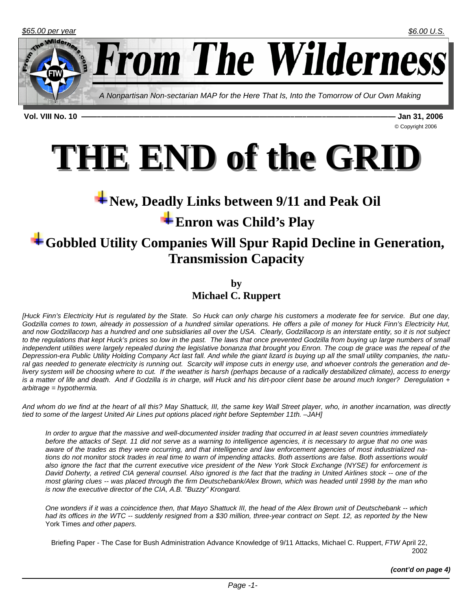rom The Wilderness

*A Nonpartisan Non-sectarian MAP for the Here That Is, Into the Tomorrow of Our Own Making* 

**Vol. VIII No. 10 ——–—————–———————————————————–—–——–————————— Jan 31, 2006**  © Copyright 2006

**THE END of the GRID THE END of the GRID**

# **New, Deadly Links between 9/11 and Peak Oil**

# **Enron was Child's Play**

# **Gobbled Utility Companies Will Spur Rapid Decline in Generation, Transmission Capacity**

**by Michael C. Ruppert** 

*[Huck Finn's Electricity Hut is regulated by the State. So Huck can only charge his customers a moderate fee for service. But one day, Godzilla comes to town, already in possession of a hundred similar operations. He offers a pile of money for Huck Finn's Electricity Hut, and now Godzillacorp has a hundred and one subsidiaries all over the USA. Clearly, Godzillacorp is an interstate entity, so it is not subject*  to the regulations that kept Huck's prices so low in the past. The laws that once prevented Godzilla from buying up large numbers of small independent utilities were largely repealed during the legislative bonanza that brought you Enron. The coup de grace was the repeal of the *Depression-era Public Utility Holding Company Act last fall. And while the giant lizard is buying up all the small utility companies, the natural gas needed to generate electricity is running out. Scarcity will impose cuts in energy use, and whoever controls the generation and delivery system will be choosing where to cut. If the weather is harsh (perhaps because of a radically destabilized climate), access to energy is a matter of life and death. And if Godzilla is in charge, will Huck and his dirt-poor client base be around much longer? Deregulation + arbitrage = hypothermia.*

*And whom do we find at the heart of all this? May Shattuck, III, the same key Wall Street player, who, in another incarnation, was directly tied to some of the largest United Air Lines put options placed right before September 11th. –JAH]*

*In order to argue that the massive and well-documented insider trading that occurred in at least seven countries immediately before the attacks of Sept. 11 did not serve as a warning to intelligence agencies, it is necessary to argue that no one was aware of the trades as they were occurring, and that intelligence and law enforcement agencies of most industrialized nations do not monitor stock trades in real time to warn of impending attacks. Both assertions are false. Both assertions would also ignore the fact that the current executive vice president of the New York Stock Exchange (NYSE) for enforcement is David Doherty, a retired CIA general counsel. Also ignored is the fact that the trading in United Airlines stock -- one of the most glaring clues -- was placed through the firm Deutschebank/Alex Brown, which was headed until 1998 by the man who is now the executive director of the CIA, A.B. "Buzzy" Krongard.* 

*One wonders if it was a coincidence then, that Mayo Shattuck III, the head of the Alex Brown unit of Deutschebank -- which*  had its offices in the WTC -- suddenly resigned from a \$30 million, three-year contract on Sept. 12, as reported by the New York Times *and other papers.*

Briefing Paper - The Case for Bush Administration Advance Knowledge of 9/11 Attacks, Michael C. Ruppert, *FTW* April 22, 2002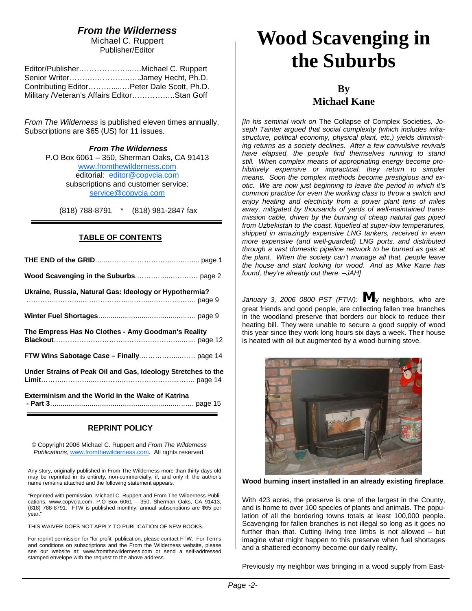### *From the Wilderness*

Michael C. Ruppert Publisher/Editor

| Editor/PublisherMichael C. Ruppert          |  |
|---------------------------------------------|--|
| Senior WriterJamey Hecht, Ph.D.             |  |
| Contributing EditorPeter Dale Scott, Ph.D.  |  |
| Military /Veteran's Affairs EditorStan Goff |  |

*From The Wilderness* is published eleven times annually. Subscriptions are \$65 (US) for 11 issues.

> *From The Wilderness*  P.O Box 6061 – 350, Sherman Oaks, CA 91413 www.fromthewilderness.com editorial: editor@copvcia.com subscriptions and customer service: service@copvcia.com

(818) 788-8791 \* (818) 981-2847 fax

#### **TABLE OF CONTENTS**

| Ukraine, Russia, Natural Gas: Ideology or Hypothermia?       |  |
|--------------------------------------------------------------|--|
|                                                              |  |
| The Empress Has No Clothes - Amy Goodman's Reality           |  |
|                                                              |  |
| Under Strains of Peak Oil and Gas, Ideology Stretches to the |  |

**Exterminism and the World in the Wake of Katrina** 

 **- Part 3**….............................................................…..…. page 15

#### **REPRINT POLICY**

© Copyright 2006 Michael C. Ruppert and *From The Wilderness Publications*, www.fromthewilderness.com. All rights reserved.

Any story, originally published in From The Wilderness more than thirty days old may be reprinted in its entirety, non-commercially, if, and only if, the author's name remains attached and the following statement appears.

"Reprinted with permission, Michael C. Ruppert and From The Wilderness Publications, www.copvcia.com, P.O Box 6061 – 350, Sherman Oaks, CA 91413, (818) 788-8791. FTW is published monthly; annual subscriptions are \$65 per year."

THIS WAIVER DOES NOT APPLY TO PUBLICATION OF NEW BOOKS.

For reprint permission for "for profit" publication, please contact FTW. For Terms and conditions on subscriptions and the From the Wilderness website, please see our website at: www.fromthewilderness.com or send a self-addressed stamped envelope with the request to the above address.

# **Wood Scavenging in the Suburbs**

**By**

#### **Michael Kane**

*[In his seminal work on* The Collapse of Complex Societies*, Joseph Tainter argued that social complexity (which includes infrastructure, political economy, physical plant, etc.) yields diminishing returns as a society declines. After a few convulsive revivals have elapsed, the people find themselves running to stand still. When complex means of appropriating energy become prohibitively expensive or impractical, they return to simpler means. Soon the complex methods become prestigious and exotic. We are now just beginning to leave the period in which it's common practice for even the working class to throw a switch and enjoy heating and electricity from a power plant tens of miles away, mitigated by thousands of yards of well-maintained transmission cable, driven by the burning of cheap natural gas piped from Uzbekistan to the coast, liquefied at super-low temperatures, shipped in amazingly expensive LNG tankers, received in even more expensive (and well-guarded) LNG ports, and distributed through a vast domestic pipeline network to be burned as gas at the plant. When the society can't manage all that, people leave the house and start looking for wood. And as Mike Kane has found, they're already out there. –JAH]*

*January 3, 2006 0800 PST (FTW):* **M**y neighbors, who are great friends and good people, are collecting fallen tree branches in the woodland preserve that borders our block to reduce their heating bill. They were unable to secure a good supply of wood this year since they work long hours six days a week. Their house is heated with oil but augmented by a wood-burning stove.



**Wood burning insert installed in an already existing fireplace**.

With 423 acres, the preserve is one of the largest in the County, and is home to over 100 species of plants and animals. The population of all the bordering towns totals at least 100,000 people. Scavenging for fallen branches is not illegal so long as it goes no further than that. Cutting living tree limbs is not allowed – but imagine what might happen to this preserve when fuel shortages and a shattered economy become our daily reality.

Previously my neighbor was bringing in a wood supply from East-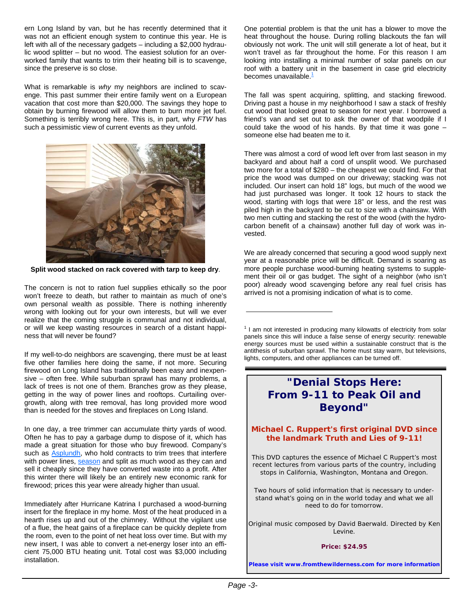ern Long Island by van, but he has recently determined that it was not an efficient enough system to continue this year. He is left with all of the necessary gadgets – including a \$2,000 hydraulic wood splitter – but no wood. The easiest solution for an overworked family that wants to trim their heating bill is to scavenge, since the preserve is so close.

What is remarkable is *why* my neighbors are inclined to scavenge. This past summer their entire family went on a European vacation that cost more than \$20,000. The savings they hope to obtain by burning firewood will allow them to burn more jet fuel. Something is terribly wrong here. This is, in part, why *FTW* has such a pessimistic view of current events as they unfold.



**Split wood stacked on rack covered with tarp to keep dry**.

The concern is not to ration fuel supplies ethically so the poor won't freeze to death, but rather to maintain as much of one's own personal wealth as possible. There is nothing inherently wrong with looking out for your own interests, but will we ever realize that the coming struggle is communal and not individual, or will we keep wasting resources in search of a distant happiness that will never be found?

If my well-to-do neighbors are scavenging, there must be at least five other families here doing the same, if not more. Securing firewood on Long Island has traditionally been easy and inexpensive – often free. While suburban sprawl has many problems, a lack of trees is not one of them. Branches grow as they please, getting in the way of power lines and rooftops. Curtailing overgrowth, along with tree removal, has long provided more wood than is needed for the stoves and fireplaces on Long Island.

In one day, a tree trimmer can accumulate thirty yards of wood. Often he has to pay a garbage dump to dispose of it, which has made a great situation for those who buy firewood. Company's such as **Asplundh**, who hold contracts to trim trees that interfere with power lines, season and split as much wood as they can and sell it cheaply since they have converted waste into a profit. After this winter there will likely be an entirely new economic rank for firewood; prices this year were already higher than usual.

Immediately after Hurricane Katrina I purchased a wood-burning insert for the fireplace in my home. Most of the heat produced in a hearth rises up and out of the chimney. Without the vigilant use of a flue, the heat gains of a fireplace can be quickly deplete from the room, even to the point of net heat loss over time. But with my new insert, I was able to convert a net-energy loser into an efficient 75,000 BTU heating unit. Total cost was \$3,000 including installation.

One potential problem is that the unit has a blower to move the heat throughout the house. During rolling blackouts the fan will obviously not work. The unit will still generate a lot of heat, but it won't travel as far throughout the home. For this reason I am looking into installing a minimal number of solar panels on our roof with a battery unit in the basement in case grid electricity becomes unavailable. $\frac{1}{2}$ 

The fall was spent acquiring, splitting, and stacking firewood. Driving past a house in my neighborhood I saw a stack of freshly cut wood that looked great to season for next year. I borrowed a friend's van and set out to ask the owner of that woodpile if I could take the wood of his hands. By that time it was gone – someone else had beaten me to it.

There was almost a cord of wood left over from last season in my backyard and about half a cord of unsplit wood. We purchased two more for a total of \$280 – the cheapest we could find. For that price the wood was dumped on our driveway; stacking was not included. Our insert can hold 18" logs, but much of the wood we had just purchased was longer. It took 12 hours to stack the wood, starting with logs that were 18" or less, and the rest was piled high in the backyard to be cut to size with a chainsaw. With two men cutting and stacking the rest of the wood (with the hydrocarbon benefit of a chainsaw) another full day of work was invested.

We are already concerned that securing a good wood supply next year at a reasonable price will be difficult. Demand is soaring as more people purchase wood-burning heating systems to supplement their oil or gas budget. The sight of a neighbor (who isn't poor) already wood scavenging before any real fuel crisis has arrived is not a promising indication of what is to come.

 $1$  I am not interested in producing many kilowatts of electricity from solar panels since this will induce a false sense of energy security: renewable energy sources must be used within a sustainable construct that is the antithesis of suburban sprawl. The home must stay warm, but televisions, lights, computers, and other appliances can be turned off.

### **"Denial Stops Here: From 9-11 to Peak Oil and Beyond"**

*Michael C. Ruppert's first original DVD since the landmark Truth and Lies of 9-11!*

This DVD captures the essence of Michael C Ruppert's most recent lectures from various parts of the country, including stops in California, Washington, Montana and Oregon.

Two hours of solid information that is necessary to understand what's going on in the world today and what we all need to do for tomorrow.

Original music composed by David Baerwald. Directed by Ken Levine.

**Price: \$24.95** 

**Please visit www.fromthewilderness.com for more information**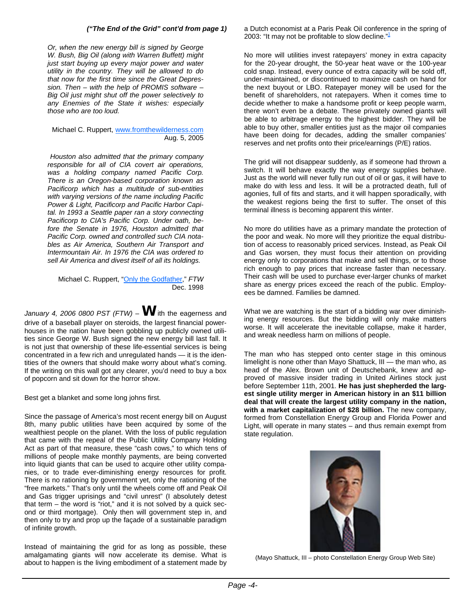#### *("The End of the Grid" cont'd from page 1)*

*Or, when the new energy bill is signed by George W. Bush, Big Oil (along with Warren Buffett) might just start buying up every major power and water utility in the country. They will be allowed to do that now for the first time since the Great Depression. Then – with the help of PROMIS software – Big Oil just might shut off the power selectively to any Enemies of the State it wishes: especially those who are too loud.*

Michael C. Ruppert, www.fromthewilderness.com Aug. 5, 2005

*Houston also admitted that the primary company responsible for all of CIA covert air operations, was a holding company named Pacific Corp. There is an Oregon-based corporation known as Pacificorp which has a multitude of sub-entities with varying versions of the name including Pacific Power & Light, Pacificorp and Pacific Harbor Capital. In 1993 a Seattle paper ran a story connecting Pacificorp to CIA's Pacific Corp. Under oath, before the Senate in 1976, Houston admitted that Pacific Corp. owned and controlled such CIA notables as Air America, Southern Air Transport and Intermountain Air. In 1976 the CIA was ordered to sell Air America and divest itself of all its holdings.*

Michael C. Ruppert, "Only the Godfather," *FTW*  Dec. 1998

*January 4, 2006 0800 PST (FTW)* – **W**ith the eagerness and drive of a baseball player on steroids, the largest financial powerhouses in the nation have been gobbling up publicly owned utilities since George W. Bush signed the new energy bill last fall. It is not just that ownership of these life-essential services is being concentrated in a few rich and unregulated hands — it is the identities of the owners that should make worry about what's coming. If the writing on this wall got any clearer, you'd need to buy a box of popcorn and sit down for the horror show.

Best get a blanket and some long johns first.

Since the passage of America's most recent energy bill on August 8th, many public utilities have been acquired by some of the wealthiest people on the planet. With the loss of public regulation that came with the repeal of the Public Utility Company Holding Act as part of that measure, these "cash cows," to which tens of millions of people make monthly payments, are being converted into liquid giants that can be used to acquire other utility companies, or to trade ever-diminishing energy resources for profit. There is no rationing by government yet, only the rationing of the "free markets." That's only until the wheels come off and Peak Oil and Gas trigger uprisings and "civil unrest" (I absolutely detest that term – the word is "riot," and it is not solved by a quick second or third mortgage). Only then will government step in, and then only to try and prop up the façade of a sustainable paradigm of infinite growth.

Instead of maintaining the grid for as long as possible, these amalgamating giants will now accelerate its demise. What is about to happen is the living embodiment of a statement made by a Dutch economist at a Paris Peak Oil conference in the spring of 2003: "It may not be profitable to slow decline." $\frac{1}{2}$ 

No more will utilities invest ratepayers' money in extra capacity for the 20-year drought, the 50-year heat wave or the 100-year cold snap. Instead, every ounce of extra capacity will be sold off, under-maintained, or discontinued to maximize cash on hand for the next buyout or LBO. Ratepayer money will be used for the benefit of shareholders, not ratepayers. When it comes time to decide whether to make a handsome profit or keep people warm, there won't even be a debate. These privately owned giants will be able to arbitrage energy to the highest bidder. They will be able to buy other, smaller entities just as the major oil companies have been doing for decades, adding the smaller companies' reserves and net profits onto their price/earnings (P/E) ratios.

The grid will not disappear suddenly, as if someone had thrown a switch. It will behave exactly the way energy supplies behave. Just as the world will never fully run out of oil or gas, it will have to make do with less and less. It will be a protracted death, full of agonies, full of fits and starts, and it will happen sporadically, with the weakest regions being the first to suffer. The onset of this terminal illness is becoming apparent this winter.

No more do utilities have as a primary mandate the protection of the poor and weak. No more will they prioritize the equal distribution of access to reasonably priced services. Instead, as Peak Oil and Gas worsen, they must focus their attention on providing energy only to corporations that make and sell things, or to those rich enough to pay prices that increase faster than necessary. Their cash will be used to purchase ever-larger chunks of market share as energy prices exceed the reach of the public. Employees be damned. Families be damned.

What we are watching is the start of a bidding war over diminishing energy resources. But the bidding will only make matters worse. It will accelerate the inevitable collapse, make it harder, and wreak needless harm on millions of people.

The man who has stepped onto center stage in this ominous limelight is none other than Mayo Shattuck, III — the man who, as head of the Alex. Brown unit of Deutschebank, knew and approved of massive insider trading in United Airlines stock just before September 11th, 2001. **He has just shepherded the largest single utility merger in American history in an \$11 billion deal that will create the largest utility company in the nation, with a market capitalization of \$28 billion.** The new company, formed from Constellation Energy Group and Florida Power and Light, will operate in many states – and thus remain exempt from state regulation.

(Mayo Shattuck, III – photo Constellation Energy Group Web Site)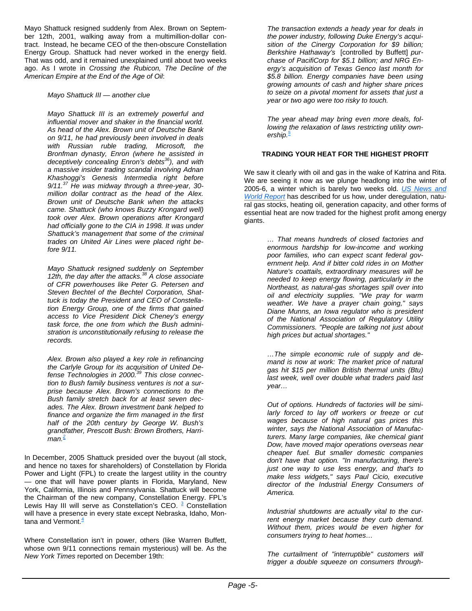Mayo Shattuck resigned suddenly from Alex. Brown on September 12th, 2001, walking away from a multimillion-dollar contract. Instead, he became CEO of the then-obscure Constellation Energy Group. Shattuck had never worked in the energy field. That was odd, and it remained unexplained until about two weeks ago. As I wrote in *Crossing the Rubicon, The Decline of the American Empire at the End of the Age of Oil*:

*Mayo Shattuck III — another clue*

*Mayo Shattuck III is an extremely powerful and influential mover and shaker in the financial world. As head of the Alex. Brown unit of Deutsche Bank on 9/11, he had previously been involved in deals with Russian ruble trading, Microsoft, the Bronfman dynasty, Enron (where he assisted in deceptively concealing Enron's debts36), and with a massive insider trading scandal involving Adnan Khashoggi's Genesis Intermedia right before 9/11.37 He was midway through a three-year, 30 million dollar contract as the head of the Alex. Brown unit of Deutsche Bank when the attacks came. Shattuck (who knows Buzzy Krongard well) took over Alex. Brown operations after Krongard had officially gone to the CIA in 1998. It was under Shattuck's management that some of the criminal trades on United Air Lines were placed right before 9/11.*

*Mayo Shattuck resigned suddenly on September 12th, the day after the attacks.38 A close associate of CFR powerhouses like Peter G. Petersen and Steven Bechtel of the Bechtel Corporation, Shattuck is today the President and CEO of Constellation Energy Group, one of the firms that gained access to Vice President Dick Cheney's energy task force, the one from which the Bush administration is unconstitutionally refusing to release the records.*

*Alex. Brown also played a key role in refinancing the Carlyle Group for its acquisition of United Defense Technologies in 2000.39 This close connection to Bush family business ventures is not a surprise because Alex. Brown's connections to the Bush family stretch back for at least seven decades. The Alex. Brown investment bank helped to finance and organize the firm managed in the first half of the 20th century by George W. Bush's grandfather, Prescott Bush: Brown Brothers, Harri* $man<sup>2</sup>$ 

In December, 2005 Shattuck presided over the buyout (all stock, and hence no taxes for shareholders) of Constellation by Florida Power and Light (FPL) to create the largest utility in the country — one that will have power plants in Florida, Maryland, New York, California, Illinois and Pennsylvania. Shattuck will become the Chairman of the new company, Constellation Energy. FPL's Lewis Hay III will serve as Constellation's CEO.<sup>3</sup> Constellation will have a presence in every state except Nebraska, Idaho, Montana and Vermont. $\frac{4}{5}$ 

Where Constellation isn't in power, others (like Warren Buffett, whose own 9/11 connections remain mysterious) will be. As the *New York Times* reported on December 19th:

*The transaction extends a heady year for deals in the power industry, following Duke Energy's acquisition of the Cinergy Corporation for \$9 billion; Berkshire Hathaway's* [controlled by Buffett] *purchase of PacifiCorp for \$5.1 billion; and NRG Energy's acquisition of Texas Genco last month for \$5.8 billion. Energy companies have been using growing amounts of cash and higher share prices to seize on a pivotal moment for assets that just a year or two ago were too risky to touch.*

*The year ahead may bring even more deals, following the relaxation of laws restricting utility ownership.<sup>5</sup>*

#### **TRADING YOUR HEAT FOR THE HIGHEST PROFIT**

We saw it clearly with oil and gas in the wake of Katrina and Rita. We are seeing it now as we plunge headlong into the winter of 2005-6, a winter which is barely two weeks old. *US News and World Report* has described for us how, under deregulation, natural gas stocks, heating oil, generation capacity, and other forms of essential heat are now traded for the highest profit among energy giants.

> *… That means hundreds of closed factories and enormous hardship for low-income and working poor families, who can expect scant federal government help. And if bitter cold rides in on Mother Nature's coattails, extraordinary measures will be needed to keep energy flowing, particularly in the Northeast, as natural-gas shortages spill over into oil and electricity supplies. "We pray for warm weather. We have a prayer chain going," says Diane Munns, an Iowa regulator who is president of the National Association of Regulatory Utility Commissioners. "People are talking not just about high prices but actual shortages."*

> *…The simple economic rule of supply and demand is now at work: The market price of natural gas hit \$15 per million British thermal units (Btu) last week, well over double what traders paid last year…*

> *Out of options. Hundreds of factories will be similarly forced to lay off workers or freeze or cut wages because of high natural gas prices this winter, says the National Association of Manufacturers. Many large companies, like chemical giant Dow, have moved major operations overseas near cheaper fuel. But smaller domestic companies don't have that option. "In manufacturing, there's just one way to use less energy, and that's to make less widgets," says Paul Cicio, executive director of the Industrial Energy Consumers of America.*

> *Industrial shutdowns are actually vital to the current energy market because they curb demand. Without them, prices would be even higher for consumers trying to heat homes…*

> *The curtailment of "interruptible" customers will trigger a double squeeze on consumers through-*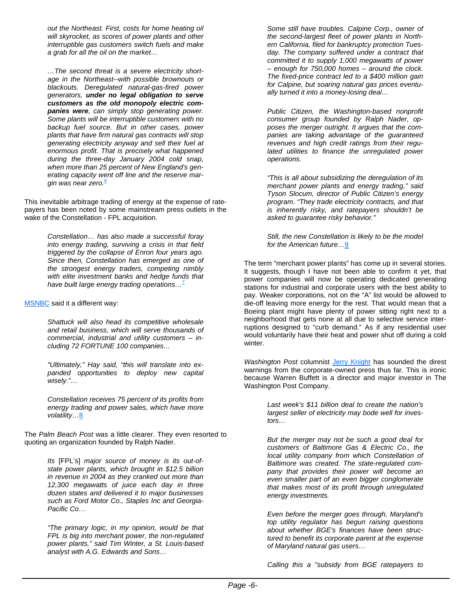*out the Northeast. First, costs for home heating oil will skyrocket, as scores of power plants and other interruptible gas customers switch fuels and make a grab for all the oil on the market…*

*…The second threat is a severe electricity shortage in the Northeast--with possible brownouts or blackouts. Deregulated natural-gas-fired power generators, under no legal obligation to serve customers as the old monopoly electric companies were, can simply stop generating power. Some plants will be interruptible customers with no backup fuel source. But in other cases, power plants that have firm natural gas contracts will stop generating electricity anyway and sell their fuel at enormous profit. That is precisely what happened during the three-day January 2004 cold snap, when more than 25 percent of New England's generating capacity went off line and the reserve margin was near zero.<sup>6</sup>*

This inevitable arbitrage trading of energy at the expense of ratepayers has been noted by some mainstream press outlets in the wake of the Constellation - FPL acquisition.

> *Constellation… has also made a successful foray into energy trading, surviving a crisis in that field triggered by the collapse of Enron four years ago. Since then, Constellation has emerged as one of the strongest energy traders, competing nimbly with elite investment banks and hedge funds that have built large energy trading operations…7*

MSNBC said it a different way:

*Shattuck will also head its competitive wholesale and retail business, which will serve thousands of commercial, industrial and utility customers – including 72 FORTUNE 100 companies…*

*"Ultimately," Hay said, "this will translate into expanded opportunities to deploy new capital wisely."…*

*Constellation receives 75 percent of its profits from energy trading and power sales, which have more volatility…*8

The *Palm Beach Post* was a little clearer. They even resorted to quoting an organization founded by Ralph Nader.

> *Its* [FPL's] *major source of money is its out-ofstate power plants, which brought in \$12.5 billion in revenue in 2004 as they cranked out more than 12,300 megawatts of juice each day in three dozen states and delivered it to major businesses such as Ford Motor Co., Staples Inc and Georgia-Pacific Co…*

> *"The primary logic, in my opinion, would be that FPL is big into merchant power, the non-regulated power plants," said Tim Winter, a St. Louis-based analyst with A.G. Edwards and Sons…*

*Some still have troubles. Calpine Corp., owner of the second-largest fleet of power plants in Northern California, filed for bankruptcy protection Tuesday. The company suffered under a contract that committed it to supply 1,000 megawatts of power – enough for 750,000 homes – around the clock. The fixed-price contract led to a \$400 million gain for Calpine, but soaring natural gas prices eventually turned it into a money-losing deal…*

*Public Citizen, the Washington-based nonprofit consumer group founded by Ralph Nader, opposes the merger outright. It argues that the companies are taking advantage of the guaranteed revenues and high credit ratings from their regulated utilities to finance the unregulated power operations.*

*"This is all about subsidizing the deregulation of its merchant power plants and energy trading," said Tyson Slocum, director of Public Citizen's energy program. "They trade electricity contracts, and that is inherently risky, and ratepayers shouldn't be asked to guarantee risky behavior."*

*Still, the new Constellation is likely to be the model for the American future…*9

The term "merchant power plants" has come up in several stories. It suggests, though I have not been able to confirm it yet, that power companies will now be operating dedicated generating stations for industrial and corporate users with the best ability to pay. Weaker corporations, not on the "A" list would be allowed to die-off leaving more energy for the rest. That would mean that a Boeing plant might have plenty of power sitting right next to a neighborhood that gets none at all due to selective service interruptions designed to "curb demand." As if any residential user would voluntarily have their heat and power shut off during a cold winter.

*Washington Post* columnist Jerry Knight has sounded the direst warnings from the corporate-owned press thus far. This is ironic because Warren Buffett is a director and major investor in The Washington Post Company.

> *Last week's \$11 billion deal to create the nation's largest seller of electricity may bode well for investors…*

> *But the merger may not be such a good deal for customers of Baltimore Gas & Electric Co., the local utility company from which Constellation of Baltimore was created. The state-regulated company that provides their power will become an even smaller part of an even bigger conglomerate that makes most of its profit through unregulated energy investments.*

> *Even before the merger goes through, Maryland's top utility regulator has begun raising questions about whether BGE's finances have been structured to benefit its corporate parent at the expense of Maryland natural gas users…*

> *Calling this a "subsidy from BGE ratepayers to*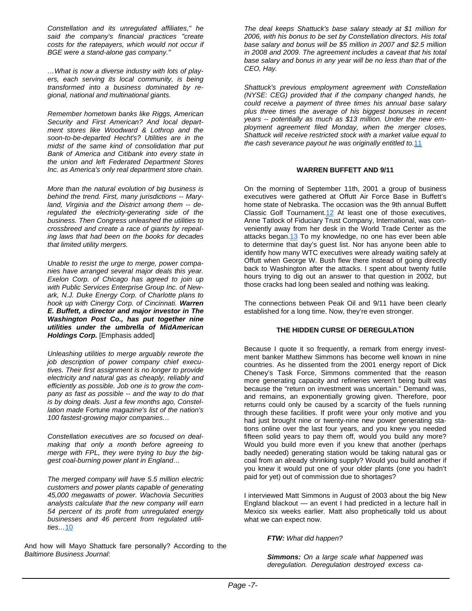*Constellation and its unregulated affiliates," he said the company's financial practices "create costs for the ratepayers, which would not occur if BGE were a stand-alone gas company."*

*…What is now a diverse industry with lots of players, each serving its local community, is being transformed into a business dominated by regional, national and multinational giants.*

*Remember hometown banks like Riggs, American Security and First American? And local department stores like Woodward & Lothrop and the soon-to-be-departed Hecht's? Utilities are in the midst of the same kind of consolidation that put Bank of America and Citibank into every state in the union and left Federated Department Stores Inc. as America's only real department store chain.*

*More than the natural evolution of big business is behind the trend. First, many jurisdictions -- Maryland, Virginia and the District among them -- deregulated the electricity-generating side of the business. Then Congress unleashed the utilities to crossbreed and create a race of giants by repealing laws that had been on the books for decades that limited utility mergers.*

*Unable to resist the urge to merge, power companies have arranged several major deals this year. Exelon Corp. of Chicago has agreed to join up with Public Services Enterprise Group Inc. of Newark, N.J. Duke Energy Corp. of Charlotte plans to hook up with Cinergy Corp. of Cincinnati. Warren E. Buffett, a director and major investor in The Washington Post Co., has put together nine utilities under the umbrella of MidAmerican Holdings Corp.* [Emphasis added]

*Unleashing utilities to merge arguably rewrote the job description of power company chief executives. Their first assignment is no longer to provide electricity and natural gas as cheaply, reliably and efficiently as possible. Job one is to grow the company as fast as possible -- and the way to do that is by doing deals. Just a few months ago, Constellation made* Fortune *magazine's list of the nation's 100 fastest-growing major companies…*

*Constellation executives are so focused on dealmaking that only a month before agreeing to merge with FPL, they were trying to buy the biggest coal-burning power plant in England…*

*The merged company will have 5.5 million electric customers and power plants capable of generating 45,000 megawatts of power. Wachovia Securities analysts calculate that the new company will earn 54 percent of its profit from unregulated energy businesses and 46 percent from regulated utilities…*10

And how will Mayo Shattuck fare personally? According to the *Baltimore Business Journal*:

*The deal keeps Shattuck's base salary steady at \$1 million for 2006, with his bonus to be set by Constellation directors. His total base salary and bonus will be \$5 million in 2007 and \$2.5 million in 2008 and 2009. The agreement includes a caveat that his total base salary and bonus in any year will be no less than that of the CEO, Hay.*

*Shattuck's previous employment agreement with Constellation (NYSE: CEG) provided that if the company changed hands, he could receive a payment of three times his annual base salary plus three times the average of his biggest bonuses in recent years -- potentially as much as \$13 million. Under the new employment agreement filed Monday, when the merger closes, Shattuck will receive restricted stock with a market value equal to the cash severance payout he was originally entitled to.*11

#### **WARREN BUFFETT AND 9/11**

On the morning of September 11th, 2001 a group of business executives were gathered at Offutt Air Force Base in Buffett's home state of Nebraska. The occasion was the 9th annual Buffett Classic Golf Tournament.12 At least one of those executives, Anne Tatlock of Fiduciary Trust Company, International, was conveniently away from her desk in the World Trade Center as the attacks began.<sup>13</sup> To my knowledge, no one has ever been able to determine that day's guest list. Nor has anyone been able to identify how many WTC executives were already waiting safely at Offutt when George W. Bush flew there instead of going directly back to Washington after the attacks. I spent about twenty futile hours trying to dig out an answer to that question in 2002, but those cracks had long been sealed and nothing was leaking.

The connections between Peak Oil and 9/11 have been clearly established for a long time. Now, they're even stronger.

#### **THE HIDDEN CURSE OF DEREGULATION**

Because I quote it so frequently, a remark from energy investment banker Matthew Simmons has become well known in nine countries. As he dissented from the 2001 energy report of Dick Cheney's Task Force, Simmons commented that the reason more generating capacity and refineries weren't being built was because the "return on investment was uncertain." Demand was, and remains, an exponentially growing given. Therefore, poor returns could only be caused by a scarcity of the fuels running through these facilities. If profit were your only motive and you had just brought nine or twenty-nine new power generating stations online over the last four years, and you knew you needed fifteen solid years to pay them off, would you build any more? Would you build more even if you knew that another (perhaps badly needed) generating station would be taking natural gas or coal from an already shrinking supply? Would you build another if you knew it would put one of your older plants (one you hadn't paid for yet) out of commission due to shortages?

I interviewed Matt Simmons in August of 2003 about the big New England blackout — an event I had predicted in a lecture hall in Mexico six weeks earlier. Matt also prophetically told us about what we can expect now.

#### *FTW: What did happen?*

*Simmons: On a large scale what happened was deregulation. Deregulation destroyed excess ca-*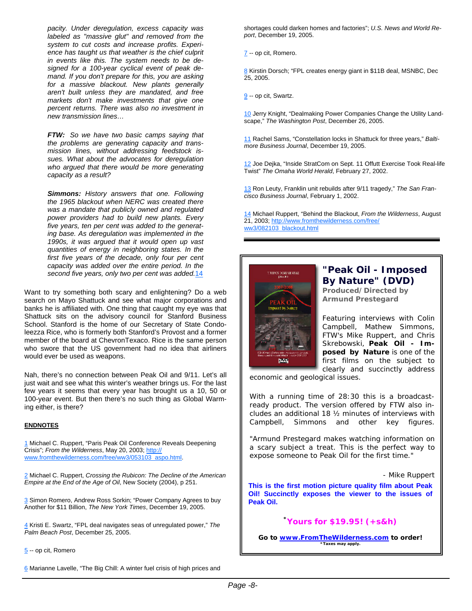*pacity. Under deregulation, excess capacity was labeled as "massive glut" and removed from the system to cut costs and increase profits. Experience has taught us that weather is the chief culprit in events like this. The system needs to be designed for a 100-year cyclical event of peak demand. If you don't prepare for this, you are asking for a massive blackout. New plants generally aren't built unless they are mandated, and free markets don't make investments that give one percent returns. There was also no investment in new transmission lines…*

*FTW: So we have two basic camps saying that the problems are generating capacity and transmission lines, without addressing feedstock issues. What about the advocates for deregulation who argued that there would be more generating capacity as a result?*

*Simmons: History answers that one. Following the 1965 blackout when NERC was created there was a mandate that publicly owned and regulated power providers had to build new plants. Every five years, ten per cent was added to the generating base. As deregulation was implemented in the 1990s, it was argued that it would open up vast quantities of energy in neighboring states. In the first five years of the decade, only four per cent capacity was added over the entire period. In the second five years, only two per cent was added.*14

Want to try something both scary and enlightening? Do a web search on Mayo Shattuck and see what major corporations and banks he is affiliated with. One thing that caught my eye was that Shattuck sits on the advisory council for Stanford Business School. Stanford is the home of our Secretary of State Condoleezza Rice, who is formerly both Stanford's Provost and a former member of the board at ChevronTexaco. Rice is the same person who swore that the US government had no idea that airliners would ever be used as weapons.

Nah, there's no connection between Peak Oil and 9/11. Let's all just wait and see what this winter's weather brings us. For the last few years it seems that every year has brought us a 10, 50 or 100-year event. But then there's no such thing as Global Warming either, is there?

#### **ENDNOTES**

1 Michael C. Ruppert, "Paris Peak Oil Conference Reveals Deepening Crisis"; *From the Wilderness*, May 20, 2003; http:// www.fromthewilderness.com/free/ww3/053103\_aspo.html.

2 Michael C. Ruppert, *Crossing the Rubicon: The Decline of the American Empire at the End of the Age of Oil*, New Society (2004), p 251.

3 Simon Romero, Andrew Ross Sorkin; "Power Company Agrees to buy Another for \$11 Billion, *The New York Times*, December 19, 2005.

4 Kristi E. Swartz, "FPL deal navigates seas of unregulated power," *The Palm Beach Post*, December 25, 2005.

5 -- op cit, Romero

6 Marianne Lavelle, "The Big Chill: A winter fuel crisis of high prices and

shortages could darken homes and factories"; *U.S. News and World Report*, December 19, 2005.

7 -- op cit, Romero.

8 Kirstin Dorsch; "FPL creates energy giant in \$11B deal, MSNBC, Dec 25, 2005.

 $9$  - op cit, Swartz.

10 Jerry Knight, "Dealmaking Power Companies Change the Utility Landscape," *The Washington Post*, December 26, 2005.

11 Rachel Sams, "Constellation locks in Shattuck for three years," *Baltimore Business Journal*, December 19, 2005.

12 Joe Dejka, "Inside StratCom on Sept. 11 Offutt Exercise Took Real-life Twist" *The Omaha World Herald*, February 27, 2002.

13 Ron Leuty, Franklin unit rebuilds after 9/11 tragedy," *The San Francisco Business Journal*, February 1, 2002.

14 Michael Ruppert, "Behind the Blackout, *From the Wilderness*, August 21, 2003; http://www.fromthewilderness.com/free/ ww3/082103\_blackout.html



### **"Peak Oil - Imposed By Nature" (DVD)**

**Produced/Directed by Armund Prestegard**

Featuring interviews with Colin Campbell, Mathew Simmons, *FTW's* Mike Ruppert, and Chris Skrebowski, *Peak Oil - Imposed by Nature* is one of the first films on the subject to clearly and succinctly address

economic and geological issues.

With a running time of 28:30 this is a broadcastready product. The version offered by *FTW* also includes an additional 18 ½ minutes of interviews with Campbell, Simmons and other key figures.

"Armund Prestegard makes watching information on a scary subject a treat. This is the perfect way to expose someone to Peak Oil for the first time."

- Mike Ruppert

**This is the first motion picture quality film about Peak Oil! Succinctly exposes the viewer to the issues of Peak Oil.**

**\*Yours for \$19.95! (+s&h)**

**Go to www.FromTheWilderness.com to order! \*Taxes may apply.**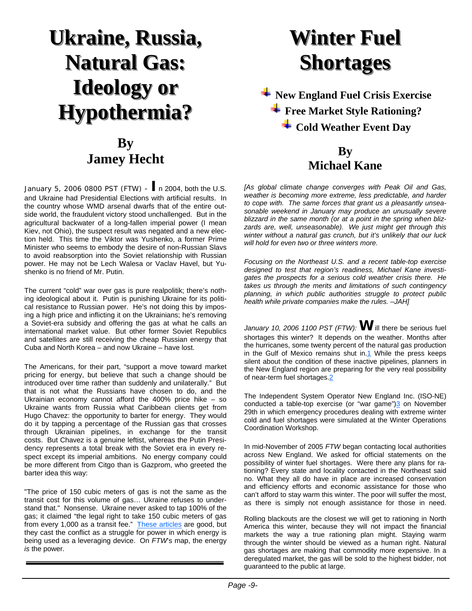# **Ukraine, Russia, Natural Gas: Ideology or Hypothermia? Hypothermia?**

## **By Jamey Hecht**

*January 5, 2006 0800 PST (FTW)* - **I**n 2004, both the U.S. and Ukraine had Presidential Elections with artificial results. In the country whose WMD arsenal dwarfs that of the entire outside world, the fraudulent victory stood unchallenged. But in the agricultural backwater of a long-fallen imperial power (I mean Kiev, not Ohio), the suspect result was negated and a new election held. This time the Viktor was Yushenko, a former Prime Minister who seems to embody the desire of non-Russian Slavs to avoid reabsorption into the Soviet relationship with Russian power. He may not be Lech Walesa or Vaclav Havel, but Yushenko is no friend of Mr. Putin.

The current "cold" war over gas is pure realpolitik; there's nothing ideological about it. Putin is punishing Ukraine for its political resistance to Russian power. He's not doing this by imposing a high price and inflicting it on the Ukrainians; he's removing a Soviet-era subsidy and offering the gas at what he calls an international market value. But other former Soviet Republics and satellites are still receiving the cheap Russian energy that Cuba and North Korea – and now Ukraine – have lost.

The Americans, for their part, "support a move toward market pricing for energy, but believe that such a change should be introduced over time rather than suddenly and unilaterally." But that is not what the Russians have chosen to do, and the Ukrainian economy cannot afford the 400% price hike – so Ukraine wants from Russia what Caribbean clients get from Hugo Chavez: the opportunity to barter for energy. They would do it by tapping a percentage of the Russian gas that crosses through Ukrainian pipelines, in exchange for the transit costs. But Chavez is a genuine leftist, whereas the Putin Presidency represents a total break with the Soviet era in every respect except its imperial ambitions. No energy company could be more different from Citgo than is Gazprom, who greeted the barter idea this way:

"The price of 150 cubic meters of gas is not the same as the transit cost for this volume of gas… Ukraine refuses to understand that." Nonsense. Ukraine never asked to tap 100% of the gas; it claimed "the legal right to take 150 cubic meters of gas from every 1,000 as a transit fee." These articles are good, but they cast the conflict as a struggle for power in which energy is being used as a leveraging device. On *FTW*'s map, the energy *is* the power.

# **Winter Fuel Shortages Shortages**

 **New England Fuel Crisis Exercise Free Market Style Rationing? Cold Weather Event Day** 

## **By Michael Kane**

*[As global climate change converges with Peak Oil and Gas, weather is becoming more extreme, less predictable, and harder to cope with. The same forces that grant us a pleasantly unseasonable weekend in January may produce an unusually severe blizzard in the same month (or at a point in the spring when blizzards are, well, unseasonable). We just might get through this winter without a natural gas crunch, but it's unlikely that our luck will hold for even two or three winters more.*

*Focusing on the Northeast U.S. and a recent table-top exercise designed to test that region's readiness, Michael Kane investigates the prospects for a serious cold weather crisis there. He takes us through the merits and limitations of such contingency planning, in which public authorities struggle to protect public health while private companies make the rules. –JAH]*

*January 10, 2006 1100 PST (FTW):* **W**ill there be serious fuel shortages this winter? It depends on the weather. Months after the hurricanes, some twenty percent of the natural gas production in the Gulf of Mexico remains shut in.1 While the press keeps silent about the condition of these inactive pipelines, planners in the New England region are preparing for the very real possibility of near-term fuel shortages.2

The Independent System Operator New England Inc. (ISO-NE) conducted a table-top exercise (or "war game") $3$  on November 29th in which emergency procedures dealing with extreme winter cold and fuel shortages were simulated at the Winter Operations Coordination Workshop.

In mid-November of 2005 *FTW* began contacting local authorities across New England. We asked for official statements on the possibility of winter fuel shortages. Were there any plans for rationing? Every state and locality contacted in the Northeast said no. What they all do have in place are increased conservation and efficiency efforts and economic assistance for those who can't afford to stay warm this winter. The poor will suffer the most, as there is simply not enough assistance for those in need.

Rolling blackouts are the closest we will get to rationing in North America this winter, because they will not impact the financial markets the way a true rationing plan might. Staying warm through the winter should be viewed as a human right. Natural gas shortages are making that commodity more expensive. In a deregulated market, the gas will be sold to the highest bidder, not guaranteed to the public at large.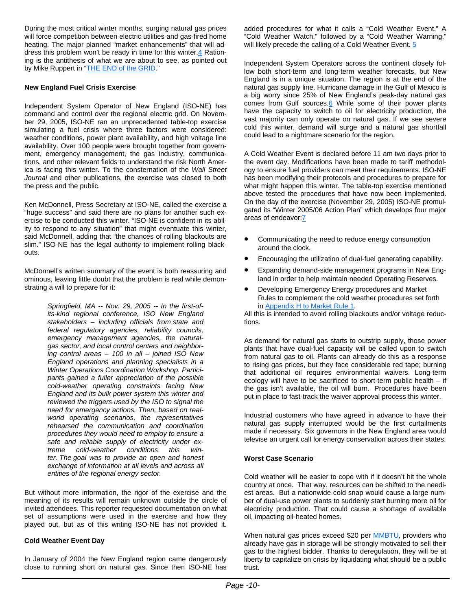During the most critical winter months, surging natural gas prices will force competition between electric utilities and gas-fired home heating. The major planned "market enhancements" that will address this problem won't be ready in time for this winter.4 Rationing is the antithesis of what we are about to see, as pointed out by Mike Ruppert in "THE END of the GRID."

#### **New England Fuel Crisis Exercise**

Independent System Operator of New England (ISO-NE) has command and control over the regional electric grid. On November 29, 2005, ISO-NE ran an unprecedented table-top exercise simulating a fuel crisis where three factors were considered: weather conditions, power plant availability, and high voltage line availability. Over 100 people were brought together from government, emergency management, the gas industry, communications, and other relevant fields to understand the risk North America is facing this winter. To the consternation of the *Wall Street Journal* and other publications, the exercise was closed to both the press and the public.

Ken McDonnell, Press Secretary at ISO-NE, called the exercise a "huge success" and said there are no plans for another such exercise to be conducted this winter. "ISO-NE is confident in its ability to respond to any situation" that might eventuate this winter, said McDonnell, adding that "the chances of rolling blackouts are slim." ISO-NE has the legal authority to implement rolling blackouts.

McDonnell's written summary of the event is both reassuring and ominous, leaving little doubt that the problem is real while demonstrating a will to prepare for it:

> *Springfield, MA -- Nov. 29, 2005 -- In the first-ofits-kind regional conference, ISO New England stakeholders – including officials from state and federal regulatory agencies, reliability councils, emergency management agencies, the naturalgas sector, and local control centers and neighboring control areas – 100 in all – joined ISO New England operations and planning specialists in a Winter Operations Coordination Workshop. Participants gained a fuller appreciation of the possible cold-weather operating constraints facing New England and its bulk power system this winter and reviewed the triggers used by the ISO to signal the need for emergency actions. Then, based on realworld operating scenarios, the representatives rehearsed the communication and coordination procedures they would need to employ to ensure a safe and reliable supply of electricity under extreme cold-weather conditions this winter. The goal was to provide an open and honest exchange of information at all levels and across all entities of the regional energy sector.*

But without more information, the rigor of the exercise and the meaning of its results will remain unknown outside the circle of invited attendees. This reporter requested documentation on what set of assumptions were used in the exercise and how they played out, but as of this writing ISO-NE has not provided it.

#### **Cold Weather Event Day**

In January of 2004 the New England region came dangerously close to running short on natural gas. Since then ISO-NE has added procedures for what it calls a "Cold Weather Event." A "Cold Weather Watch," followed by a "Cold Weather Warning," will likely precede the calling of a Cold Weather Event. 5

Independent System Operators across the continent closely follow both short-term and long-term weather forecasts, but New England is in a unique situation. The region is at the end of the natural gas supply line. Hurricane damage in the Gulf of Mexico is a big worry since 25% of New England's peak-day natural gas comes from Gulf sources.6 While some of their power plants have the capacity to switch to oil for electricity production, the vast majority can only operate on natural gas. If we see severe cold this winter, demand will surge and a natural gas shortfall could lead to a nightmare scenario for the region.

A Cold Weather Event is declared before 11 am two days prior to the event day. Modifications have been made to tariff methodology to ensure fuel providers can meet their requirements. ISO-NE has been modifying their protocols and procedures to prepare for what might happen this winter. The table-top exercise mentioned above tested the procedures that have now been implemented. On the day of the exercise (November 29, 2005) ISO-NE promulgated its "Winter 2005/06 Action Plan" which develops four major areas of endeavor:7

- Communicating the need to reduce energy consumption around the clock.
- Encouraging the utilization of dual-fuel generating capability.
- Expanding demand-side management programs in New England in order to help maintain needed Operating Reserves.
- Developing Emergency Energy procedures and Market Rules to complement the cold weather procedures set forth in Appendix H to Market Rule 1.

All this is intended to avoid rolling blackouts and/or voltage reductions.

As demand for natural gas starts to outstrip supply, those power plants that have dual-fuel capacity will be called upon to switch from natural gas to oil. Plants can already do this as a response to rising gas prices, but they face considerable red tape; burning that additional oil requires environmental waivers. Long-term ecology will have to be sacrificed to short-term public health – if the gas isn't available, the oil will burn. Procedures have been put in place to fast-track the waiver approval process this winter.

Industrial customers who have agreed in advance to have their natural gas supply interrupted would be the first curtailments made if necessary. Six governors in the New England area would televise an urgent call for energy conservation across their states.

#### **Worst Case Scenario**

Cold weather will be easier to cope with if it doesn't hit the whole country at once. That way, resources can be shifted to the neediest areas. But a nationwide cold snap would cause a large number of dual-use power plants to suddenly start burning more oil for electricity production. That could cause a shortage of available oil, impacting oil-heated homes.

When natural gas prices exceed \$20 per MMBTU, providers who already have gas in storage will be strongly motivated to sell their gas to the highest bidder. Thanks to deregulation, they will be at liberty to capitalize on crisis by liquidating what should be a public trust.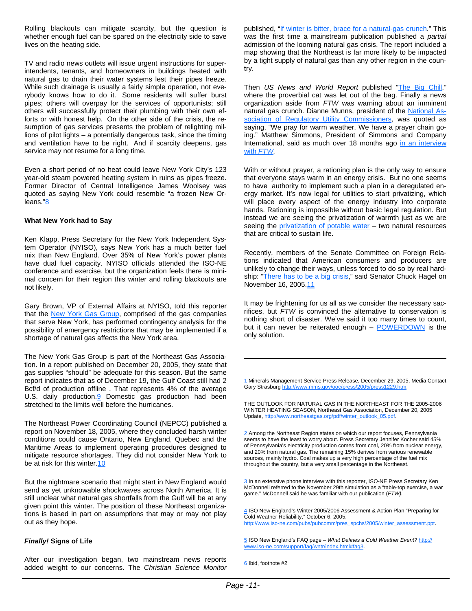Rolling blackouts can mitigate scarcity, but the question is whether enough fuel can be spared on the electricity side to save lives on the heating side.

TV and radio news outlets will issue urgent instructions for superintendents, tenants, and homeowners in buildings heated with natural gas to drain their water systems lest their pipes freeze. While such drainage is usually a fairly simple operation, not everybody knows how to do it. Some residents will suffer burst pipes; others will overpay for the services of opportunists; still others will successfully protect their plumbing with their own efforts or with honest help. On the other side of the crisis, the resumption of gas services presents the problem of relighting millions of pilot lights – a potentially dangerous task, since the timing and ventilation have to be right. And if scarcity deepens, gas service may not resume for a long time.

Even a short period of no heat could leave New York City's 123 year-old steam powered heating system in ruins as pipes freeze. Former Director of Central Intelligence James Woolsey was quoted as saying New York could resemble "a frozen New Orleans."8

#### **What New York had to Say**

Ken Klapp, Press Secretary for the New York Independent System Operator (NYISO), says New York has a much better fuel mix than New England. Over 35% of New York's power plants have dual fuel capacity. NYISO officials attended the ISO-NE conference and exercise, but the organization feels there is minimal concern for their region this winter and rolling blackouts are not likely.

Gary Brown, VP of External Affairs at NYISO, told this reporter that the New York Gas Group, comprised of the gas companies that serve New York, has performed contingency analysis for the possibility of emergency restrictions that may be implemented if a shortage of natural gas affects the New York area.

The New York Gas Group is part of the Northeast Gas Association. In a report published on December 20, 2005, they state that gas supplies "should" be adequate for this season. But the same report indicates that as of December 19, the Gulf Coast still had 2 Bcf/d of production offline . That represents 4% of the average U.S. daily production.9 Domestic gas production had been stretched to the limits well before the hurricanes.

The Northeast Power Coordinating Council (NEPCC) published a report on November 18, 2005, where they concluded harsh winter conditions could cause Ontario, New England, Quebec and the Maritime Areas to implement operating procedures designed to mitigate resource shortages. They did not consider New York to be at risk for this winter.10

But the nightmare scenario that might start in New England would send as yet unknowable shockwaves across North America. It is still unclear what natural gas shortfalls from the Gulf will be at any given point this winter. The position of these Northeast organizations is based in part on assumptions that may or may not play out as they hope.

#### *Finally!* **Signs of Life**

After our investigation began, two mainstream news reports added weight to our concerns. The *Christian Science Monitor*  published, "If winter is bitter, brace for a natural-gas crunch." This was the first time a mainstream publication published a *partial*  admission of the looming natural gas crisis. The report included a map showing that the Northeast is far more likely to be impacted by a tight supply of natural gas than any other region in the country.

Then *US News and World Report* published "The Big Chill," where the proverbial cat was let out of the bag. Finally a news organization aside from *FTW* was warning about an imminent natural gas crunch. Dianne Munns, president of the National Association of Regulatory Utility Commissioners, was quoted as saying, "We pray for warm weather. We have a prayer chain going." Matthew Simmons, President of Simmons and Company International, said as much over 18 months ago in an interview with *FTW.*

With or without prayer, a rationing plan is the only way to ensure that everyone stays warm in an energy crisis. But no one seems to have authority to implement such a plan in a deregulated energy market. It's now legal for utilities to start privatizing, which will place every aspect of the energy industry into corporate hands. Rationing is impossible without basic legal regulation. But instead we are seeing the privatization of warmth just as we are seeing the *privatization of potable water* – two natural resources that are critical to sustain life.

Recently, members of the Senate Committee on Foreign Relations indicated that American consumers and producers are unlikely to change their ways, unless forced to do so by real hardship: "There has to be a big crisis," said Senator Chuck Hagel on November 16, 2005.11

It may be frightening for us all as we consider the necessary sacrifices, but *FTW* is convinced the alternative to conservation is nothing short of disaster. We've said it too many times to count, but it can never be reiterated enough  $-$  POWERDOWN is the only solution.

1 Minerals Management Service Press Release, December 29, 2005, Media Contact Gary Strasburg http://www.mms.gov/ooc/press/2005/press1229.htm.

THE OUTLOOK FOR NATURAL GAS IN THE NORTHEAST FOR THE 2005-2006 WINTER HEATING SEASON, Northeast Gas Association, December 20, 2005 Update, http://www.northeastgas.org/pdf/winter\_outlook\_05.pdf.

2 Among the Northeast Region states on which our report focuses, Pennsylvania seems to have the least to worry about. Press Secretary Jennifer Kocher said 45% of Pennsylvania's electricity production comes from coal, 20% from nuclear energy, and 20% from natural gas. The remaining 15% derives from various renewable sources, mainly hydro. Coal makes up a very high percentage of the fuel mix throughout the country, but a very small percentage in the Northeast.

3 In an extensive phone interview with this reporter, ISO-NE Press Secretary Ken McDonnell referred to the November 29th simulation as a "table-top exercise, a war game." McDonnell said he was familiar with our publication (*FTW).*

4 ISO New England's Winter 2005/2006 Assessment & Action Plan "Preparing for Cold Weather Reliability," October 6, 2005, http://www.iso-ne.com/pubs/pubcomm/pres\_spchs/2005/winter\_assessment.ppt.

5 ISO New England's FAQ page – *What Defines a Cold Weather Event?* http:// www.iso-ne.com/support/faq/wntr/index.html#faq3.

6 Ibid, footnote #2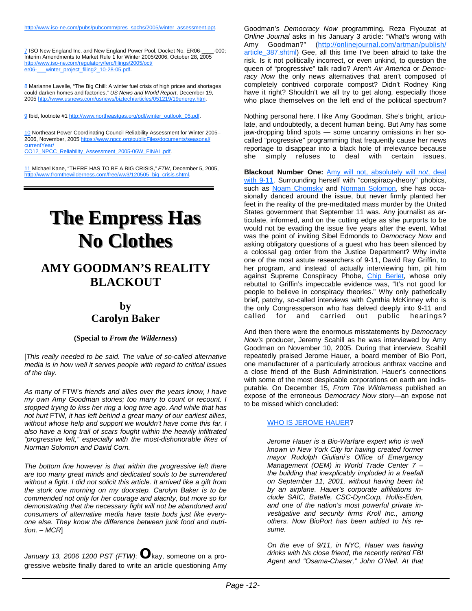7 ISO New England Inc. and New England Power Pool, Docket No. ER06-<br>
-000; Interim Amendments to Market Rule 1 for Winter 2005/2006, October 28, 2005 http://www.iso-ne.com/regulatory/ferc/filings/2005/oct/<br>er06- winter project filing2 10-28-05.pdf. winter\_project\_filing2\_10-28-05.pdf.

8 Marianne Lavelle, "The Big Chill: A winter fuel crisis of high prices and shortages could darken homes and factories," *US News and World Report*, December 19, 2005 http://www.usnews.com/usnews/biztech/articles/051219/19energy.htm.

9 Ibid, footnote #1 http://www.northeastgas.org/pdf/winter\_outlook\_05.pdf.

10 Northeast Power Coordinating Council Reliability Assessment for Winter 2005– 2006, November, 2005 https://www.npcc.org/publicFiles/documents/seasonal/ currentYear/

CO12\_NPCC\_Reliability\_Assessment\_2005-06W\_FINAL.pdf.

11 Michael Kane, "THERE HAS TO BE A BIG CRISIS," *FTW,* December 5, 2005, http://www.fromthewilderness.com/free/ww3/120505\_big\_crisis.shtml.

# **The Empress Has No Clothes No Clothes**

### **AMY GOODMAN'S REALITY BLACKOUT**

### **by Carolyn Baker**

#### **(Special to** *From the Wilderness***)**

[*This really needed to be said. The value of so-called alternative media is in how well it serves people with regard to critical issues of the day.* 

*As many of* FTW's *friends and allies over the years know, I have my own Amy Goodman stories; too many to count or recount. I stopped trying to kiss her ring a long time ago. And while that has not hurt* FTW*, it has left behind a great many of our earliest allies, without whose help and support we wouldn't have come this far. I also have a long trail of scars fought within the heavily infiltrated "progressive left," especially with the most-dishonorable likes of Norman Solomon and David Corn.* 

*The bottom line however is that within the progressive left there are too many great minds and dedicated souls to be surrendered*  without a fight. I did not solicit this article. It arrived like a gift from *the stork one morning on my doorstep. Carolyn Baker is to be commended not only for her courage and alacrity, but more so for demonstrating that the necessary fight will not be abandoned and consumers of alternative media have taste buds just like everyone else. They know the difference between junk food and nutrition. – MCR*]

*January 13, 2006 1200 PST (FTW)*: **O**kay, someone on a progressive website finally dared to write an article questioning Amy

Goodman's *Democracy Now* programming. Reza Fiyouzat at *Online Journal* asks in his January 3 article: "What's wrong with Amy Goodman?" (http://onlinejournal.com/artman/publish/ article\_387.shtml) Gee, all this time I've been afraid to take the risk. Is it not politically incorrect, or even unkind, to question the queen of "progressive" talk radio? Aren't *Air America* or *Democracy Now* the only news alternatives that aren't composed of completely contrived corporate compost? Didn't Rodney King have it right? Shouldn't we all try to get along, especially those who place themselves on the left end of the political spectrum?

Nothing personal here. I like Amy Goodman. She's bright, articulate, and undoubtedly, a decent human being. But Amy has some jaw-dropping blind spots — some uncanny omissions in her socalled "progressive" programming that frequently cause her news reportage to disappear into a black hole of irrelevance because she simply refuses to deal with certain issues.

**Blackout Number One:** Amy will not, absolutely will *not*, deal with 9-11. Surrounding herself with "conspiracy-theory" phobics, such as **Noam Chomsky** and Norman Solomon, she has occasionally danced around the issue, but never firmly planted her feet in the reality of the pre-meditated mass murder by the United States government that September 11 was. Any journalist as articulate, informed, and on the cutting edge as she purports to be would not be evading the issue five years after the event. What was the point of inviting Sibel Edmonds to *Democracy Now* and asking obligatory questions of a guest who has been silenced by a colossal gag order from the Justice Department? Why invite one of the most astute researchers of 9-11, David Ray Griffin, to her program, and instead of actually interviewing him, pit him against Supreme Conspiracy Phobe, Chip Berlet, whose only rebuttal to Griffin's impeccable evidence was, "It's not good for people to believe in conspiracy theories." Why only pathetically brief, patchy, so-called interviews with Cynthia McKinney who is the only Congressperson who has delved deeply into 9-11 and called for and carried out public hearings?

And then there were the enormous misstatements by *Democracy Now's* producer, Jeremy Scahill as he was interviewed by Amy Goodman on November 10, 2005. During that interview, Scahill repeatedly praised Jerome Hauer, a board member of Bio Port, one manufacturer of a particularly atrocious anthrax vaccine and a close friend of the Bush Administration. Hauer's connections with some of the most despicable corporations on earth are indisputable. On December 15, *From The Wilderness* published an expose of the erroneous *Democracy Now* story—an expose not to be missed which concluded:

#### WHO IS JEROME HAUER?

*Jerome Hauer is a Bio-Warfare expert who is well known in New York City for having created former mayor Rudolph Giuliani's Office of Emergency Management (OEM) in World Trade Center 7 – the building that inexplicably imploded in a freefall on September 11, 2001, without having been hit by an airplane. Hauer's corporate affiliations include SAIC, Batelle, CSC-DynCorp, Hollis-Eden, and one of the nation's most powerful private investigative and security firms Kroll Inc., among others. Now BioPort has been added to his resume.* 

*On the eve of 9/11, in NYC, Hauer was having drinks with his close friend, the recently retired FBI Agent and "Osama-Chaser," John O'Neil. At that*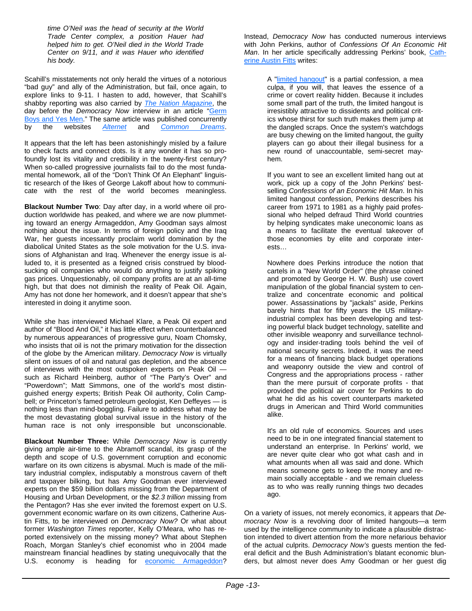*time O'Neil was the head of security at the World Trade Center complex, a position Hauer had helped him to get. O'Neil died in the World Trade Center on 9/11, and it was Hauer who identified his body.*

Scahill's misstatements not only herald the virtues of a notorious "bad guy" and ally of the Administration, but fail, once again, to explore links to 9-11. I hasten to add, however, that Scahill's shabby reporting was also carried by *The Nation Magazine*, the day before the *Democracy Now* interview in an article "Germ Boys and Yes Men." The same article was published concurrently<br>by the websites Alternet and Common Dreams. by the websites *Alternet* and *Common Dreams*.

It appears that the left has been astonishingly misled by a failure to check facts and connect dots. Is it any wonder it has so profoundly lost its vitality and credibility in the twenty-first century? When so-called progressive journalists fail to do the most fundamental homework, all of the "Don't Think Of An Elephant" linguistic research of the likes of George Lakoff about how to communicate with the rest of the world becomes meaningless.

**Blackout Number Two**: Day after day, in a world where oil production worldwide has peaked, and where we are now plummeting toward an energy Armageddon, Amy Goodman says almost nothing about the issue. In terms of foreign policy and the Iraq War, her guests incessantly proclaim world domination by the diabolical United States as the sole motivation for the U.S. invasions of Afghanistan and Iraq. Whenever the energy issue is alluded to, it is presented as a feigned crisis construed by bloodsucking oil companies who would do anything to justify spiking gas prices. Unquestionably, oil company profits are at an all-time high, but that does not diminish the reality of Peak Oil. Again, Amy has not done her homework, and it doesn't appear that she's interested in doing it anytime soon.

While she has interviewed Michael Klare, a Peak Oil expert and author of "Blood And Oil," it has little effect when counterbalanced by numerous appearances of progressive guru, Noam Chomsky, who insists that oil is not the primary motivation for the dissection of the globe by the American military. *Democracy Now* is virtually silent on issues of oil and natural gas depletion, and the absence of interviews with the most outspoken experts on Peak Oil such as Richard Heinberg, author of "The Party's Over" and "Powerdown"; Matt Simmons, one of the world's most distinguished energy experts; British Peak Oil authority, Colin Campbell; or Princeton's famed petroleum geologist, Ken Deffeyes — is nothing less than mind-boggling. Failure to address what may be the most devastating global survival issue in the history of the human race is not only irresponsible but unconscionable.

**Blackout Number Three:** While *Democracy Now* is currently giving ample air-time to the Abramoff scandal, its grasp of the depth and scope of U.S. government corruption and economic warfare on its own citizens is abysmal. Much is made of the military industrial complex, indisputably a monstrous cavern of theft and taxpayer bilking, but has Amy Goodman ever interviewed experts on the \$59 billion dollars missing from the Department of Housing and Urban Development, or the *\$2.3 trillion* missing from the Pentagon? Has she ever invited the foremost expert on U.S. government economic warfare on its own citizens, Catherine Austin Fitts, to be interviewed on *Democracy Now?* Or what about former *Washington Times* reporter, Kelly O'Meara, who has reported extensively on the missing money? What about Stephen Roach, Morgan Stanley's chief economist who in 2004 made mainstream financial headlines by stating unequivocally that the U.S. economy is heading for economic Armageddon?

Instead, *Democracy Now* has conducted numerous interviews with John Perkins, author of *Confessions Of An Economic Hit Man*. In her article specifically addressing Perkins' book, Catherine Austin Fitts writes:

> A "limited hangout" is a partial confession, a mea culpa, if you will, that leaves the essence of a crime or covert reality hidden. Because it includes some small part of the truth, the limited hangout is irresistibly attractive to dissidents and political critics whose thirst for such truth makes them jump at the dangled scraps. Once the system's watchdogs are busy chewing on the limited hangout, the guilty players can go about their illegal business for a new round of unaccountable, semi-secret mayhem.

> If you want to see an excellent limited hang out at work, pick up a copy of the John Perkins' bestselling *Confessions of an Economic Hit Man*. In his limited hangout confession, Perkins describes his career from 1971 to 1981 as a highly paid professional who helped defraud Third World countries by helping syndicates make uneconomic loans as a means to facilitate the eventual takeover of those economies by elite and corporate interests…

> Nowhere does Perkins introduce the notion that cartels in a "New World Order" (the phrase coined and promoted by George H. W. Bush) use covert manipulation of the global financial system to centralize and concentrate economic and political power. Assassinations by "jackals" aside, Perkins barely hints that for fifty years the US militaryindustrial complex has been developing and testing powerful black budget technology, satellite and other invisible weaponry and surveillance technology and insider-trading tools behind the veil of national security secrets. Indeed, it was the need for a means of financing black budget operations and weaponry outside the view and control of Congress and the appropriations process - rather than the mere pursuit of corporate profits - that provided the political air cover for Perkins to do what he did as his covert counterparts marketed drugs in American and Third World communities alike.

> It's an old rule of economics. Sources and uses need to be in one integrated financial statement to understand an enterprise. In Perkins' world, we are never quite clear who got what cash and in what amounts when all was said and done. Which means someone gets to keep the money and remain socially acceptable - and we remain clueless as to who was really running things two decades ago.

On a variety of issues, not merely economics, it appears that *Democracy Now* is a revolving door of limited hangouts—a term used by the intelligence community to indicate a plausible distraction intended to divert attention from the more nefarious behavior of the actual culprits. *Democracy Now's* guests mention the federal deficit and the Bush Administration's blatant economic blunders, but almost never does Amy Goodman or her guest dig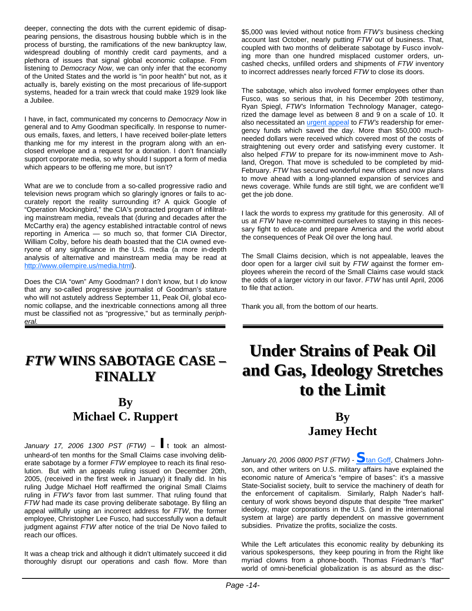deeper, connecting the dots with the current epidemic of disappearing pensions, the disastrous housing bubble which is in the process of bursting, the ramifications of the new bankruptcy law, widespread doubling of monthly credit card payments, and a plethora of issues that signal global economic collapse. From listening to *Democracy Now*, we can only infer that the economy of the United States and the world is "in poor health" but not, as it actually is, barely existing on the most precarious of life-support systems, headed for a train wreck that could make 1929 look like a Jubilee.

I have, in fact, communicated my concerns to *Democracy Now* in general and to Amy Goodman specifically*.* In response to numerous emails, faxes, and letters, I have received boiler-plate letters thanking me for my interest in the program along with an enclosed envelope and a request for a donation. I don't financially support corporate media, so why should I support a form of media which appears to be offering me more, but isn't?

What are we to conclude from a so-called progressive radio and television news program which so glaringly ignores or fails to accurately report the reality surrounding it? A quick Google of "Operation Mockingbird," the CIA's protracted program of infiltrating mainstream media, reveals that (during and decades after the McCarthy era) the agency established intractable control of news reporting in America — so much so, that former CIA Director, William Colby, before his death boasted that the CIA owned everyone of any significance in the U.S. media (a more in-depth analysis of alternative and mainstream media may be read at http://www.oilempire.us/media.html).

Does the CIA "own" Amy Goodman? I don't know, but I *do* know that any so-called progressive journalist of Goodman's stature who will not astutely address September 11, Peak Oil, global economic collapse, and the inextricable connections among all three must be classified not as "progressive," but as terminally *peripheral.* 

# $\bm{F}$ *FTW* WINS SABOTAGE CASE – **FINALLY FINALLY**

## **By Michael C. Ruppert**

*January 17, 2006 1300 PST (FTW)* – **I**t took an almostunheard-of ten months for the Small Claims case involving deliberate sabotage by a former *FTW* employee to reach its final resolution. But with an appeals ruling issued on December 20th, 2005, (received in the first week in January) it finally did. In his ruling Judge Michael Hoff reaffirmed the original Small Claims ruling in *FTW's* favor from last summer. That ruling found that *FTW* had made its case proving deliberate sabotage. By filing an appeal willfully using an incorrect address for *FTW*, the former employee, Christopher Lee Fusco, had successfully won a default judgment against *FTW* after notice of the trial De Novo failed to reach our offices.

It was a cheap trick and although it didn't ultimately succeed it did thoroughly disrupt our operations and cash flow. More than \$5,000 was levied without notice from *FTW's* business checking account last October, nearly putting *FTW* out of business. That, coupled with two months of deliberate sabotage by Fusco involving more than one hundred misplaced customer orders, uncashed checks, unfilled orders and shipments of *FTW* inventory to incorrect addresses nearly forced *FTW* to close its doors.

The sabotage, which also involved former employees other than Fusco, was so serious that, in his December 20th testimony, Ryan Spiegl, *FTW's* Information Technology Manager, categorized the damage level as between 8 and 9 on a scale of 10. It also necessitated an urgent appeal to *FTW's* readership for emergency funds which saved the day. More than \$50,000 muchneeded dollars were received which covered most of the costs of straightening out every order and satisfying every customer. It also helped *FTW* to prepare for its now-imminent move to Ashland, Oregon. That move is scheduled to be completed by mid-February. *FTW* has secured wonderful new offices and now plans to move ahead with a long-planned expansion of services and news coverage. While funds are still tight, we are confident we'll get the job done.

I lack the words to express my gratitude for this generosity. All of us at *FTW* have re-committed ourselves to staying in this necessary fight to educate and prepare America and the world about the consequences of Peak Oil over the long haul.

The Small Claims decision, which is not appealable, leaves the door open for a larger civil suit by *FTW* against the former employees wherein the record of the Small Claims case would stack the odds of a larger victory in our favor. *FTW* has until April, 2006 to file that action.

Thank you all, from the bottom of our hearts.

# **Under Strains of Peak Oil and Gas, Ideology Stretches and Gas, Ideology Stretches to the Limit to the Limit**

## **By Jamey Hecht**

*January 20, 2006 0800 PST (FTW) -* **S**tan Goff, Chalmers Johnson, and other writers on U.S. military affairs have explained the economic nature of America's "empire of bases": it's a massive State-Socialist society, built to service the machinery of death for the enforcement of capitalism. Similarly, Ralph Nader's halfcentury of work shows beyond dispute that despite "free market" ideology, major corporations in the U.S. (and in the international system at large) are partly dependent on massive government subsidies. Privatize the profits, socialize the costs.

While the Left articulates this economic reality by debunking its various spokespersons, they keep pouring in from the Right like myriad clowns from a phone-booth. Thomas Friedman's "flat" world of omni-beneficial globalization is as absurd as the disc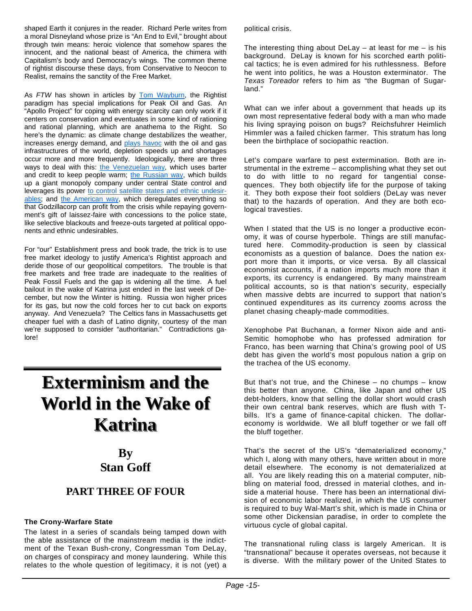shaped Earth it conjures in the reader. Richard Perle writes from a moral Disneyland whose prize is "An End to Evil," brought about through twin means: heroic violence that somehow spares the innocent, and the national beast of America, the chimera with Capitalism's body and Democracy's wings. The common theme of rightist discourse these days, from Conservative to Neocon to Realist, remains the sanctity of the Free Market.

As *FTW* has shown in articles by Tom Wayburn, the Rightist paradigm has special implications for Peak Oil and Gas. An "Apollo Project" for coping with energy scarcity can only work if it centers on conservation and eventuates in some kind of rationing and rational planning, which are anathema to the Right. So here's the dynamic: as climate change destabilizes the weather, increases energy demand, and plays havoc with the oil and gas infrastructures of the world, depletion speeds up and shortages occur more and more frequently. Ideologically, there are three ways to deal with this: the Venezuelan way, which uses barter and credit to keep people warm; the Russian way, which builds up a giant monopoly company under central State control and leverages its power to control satellite states and ethnic undesirables; and the American way, which deregulates everything so that Godzillacorp can profit from the crisis while repaying government's gift of laissez-faire with concessions to the police state, like selective blackouts and freeze-outs targeted at political opponents and ethnic undesirables.

For "our" Establishment press and book trade, the trick is to use free market ideology to justify America's Rightist approach and deride those of our geopolitical competitors. The trouble is that free markets and free trade are inadequate to the realities of Peak Fossil Fuels and the gap is widening all the time. A fuel bailout in the wake of Katrina just ended in the last week of December, but now the Winter is hitting. Russia won higher prices for its gas, but now the cold forces her to cut back on exports anyway. And Venezuela? The Celtics fans in Massachusetts get cheaper fuel with a dash of Latino dignity, courtesy of the man we're supposed to consider "authoritarian." Contradictions galore!

# **Exterminism and the Exterminism and the World in the Wake of Katrina Katrina**

## **By Stan Goff**

### **PART THREE OF FOUR**

#### **The Crony-Warfare State**

The latest in a series of scandals being tamped down with the able assistance of the mainstream media is the indictment of the Texan Bush-crony, Congressman Tom DeLay, on charges of conspiracy and money laundering. While this relates to the whole question of legitimacy, it is not (yet) a

political crisis.

The interesting thing about DeLay – at least for me – is his background. DeLay is known for his scorched earth political tactics; he is even admired for his ruthlessness. Before he went into politics, he was a Houston exterminator. The *Texas Toreador* refers to him as "the Bugman of Sugarland."

What can we infer about a government that heads up its own most representative federal body with a man who made his living spraying poison on bugs? Reichsfuhrer Heimlich Himmler was a failed chicken farmer. This stratum has long been the birthplace of sociopathic reaction.

Let's compare warfare to pest extermination. Both are instrumental in the extreme – accomplishing what they set out to do with little to no regard for tangential consequences. They both objectify life for the purpose of taking it. They both expose their foot soldiers (DeLay was never that) to the hazards of operation. And they are both ecological travesties.

When I stated that the US is no longer a productive economy, it was of course hyperbole. Things are still manufactured here. Commodity-production is seen by classical economists as a question of balance. Does the nation export more than it imports, or vice versa. By all classical economist accounts, if a nation imports much more than it exports, its currency is endangered. By many mainstream political accounts, so is that nation's security, especially when massive debts are incurred to support that nation's continued expenditures as its currency zooms across the planet chasing cheaply-made commodities.

Xenophobe Pat Buchanan, a former Nixon aide and anti-Semitic homophobe who has professed admiration for Franco, has been warning that China's growing pool of US debt has given the world's most populous nation a grip on the trachea of the US economy.

But that's not true, and the Chinese – no chumps – know this better than anyone. China, like Japan and other US debt-holders, know that selling the dollar short would crash their own central bank reserves, which are flush with Tbills. It's a game of finance-capital chicken. The dollareconomy is worldwide. We all bluff together or we fall off the bluff together.

That's the secret of the US's "dematerialized economy," which I, along with many others, have written about in more detail elsewhere. The economy is not dematerialized at all. You are likely reading this on a material computer, nibbling on material food, dressed in material clothes, and inside a material house. There has been an international division of economic labor realized, in which the US consumer is required to buy Wal-Mart's shit, which is made in China or some other Dickensian paradise, in order to complete the virtuous cycle of global capital.

The transnational ruling class is largely American. It is "transnational" because it operates overseas, not because it is diverse. With the military power of the United States to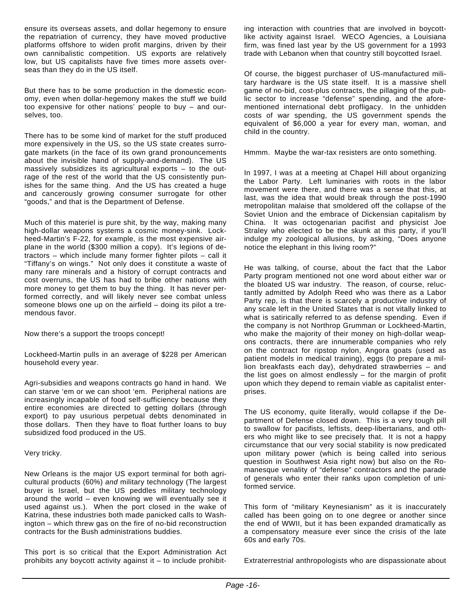ensure its overseas assets, and dollar hegemony to ensure the repatriation of currency, they have moved productive platforms offshore to widen profit margins, driven by their own cannibalistic competition. US exports are relatively low, but US capitalists have five times more assets overseas than they do in the US itself.

But there has to be some production in the domestic economy, even when dollar-hegemony makes the stuff we build too expensive for other nations' people to buy – and ourselves, too.

There has to be some kind of market for the stuff produced more expensively in the US, so the US state creates surrogate markets (in the face of its own grand pronouncements about the invisible hand of supply-and-demand). The US massively subsidizes its agricultural exports – to the outrage of the rest of the world that the US consistently punishes for the same thing. And the US has created a huge and cancerously growing consumer surrogate for other "goods," and that is the Department of Defense.

Much of this materiel is pure shit, by the way, making many high-dollar weapons systems a cosmic money-sink. Lockheed-Martin's F-22, for example, is the most expensive airplane in the world (\$300 million a copy). It's legions of detractors – which include many former fighter pilots – call it "Tiffany's on wings." Not only does it constitute a waste of many rare minerals and a history of corrupt contracts and cost overruns, the US has had to bribe other nations with more money to get them to buy the thing. It has never performed correctly, and will likely never see combat unless someone blows one up on the airfield – doing its pilot a tremendous favor.

Now there's a support the troops concept!

Lockheed-Martin pulls in an average of \$228 per American household every year.

Agri-subsidies and weapons contracts go hand in hand. We can starve 'em or we can shoot 'em. Peripheral nations are increasingly incapable of food self-sufficiency because they entire economies are directed to getting dollars (through export) to pay usurious perpetual debts denominated in those dollars. Then they have to float further loans to buy subsidized food produced in the US.

#### Very tricky.

New Orleans is the major US export terminal for both agricultural products (60%) *and* military technology (The largest buyer is Israel, but the US peddles military technology around the world – even knowing we will eventually see it used against us.). When the port closed in the wake of Katrina, these industries both made panicked calls to Washington – which threw gas on the fire of no-bid reconstruction contracts for the Bush administrations buddies.

This port is so critical that the Export Administration Act prohibits any boycott activity against it – to include prohibiting interaction with countries that are involved in boycottlike activity against Israel. WECO Agencies, a Louisiana firm, was fined last year by the US government for a 1993 trade with Lebanon when that country still boycotted Israel.

Of course, the biggest purchaser of US-manufactured military hardware is the US state itself. It is a massive shell game of no-bid, cost-plus contracts, the pillaging of the public sector to increase "defense" spending, and the aforementioned international debt profligacy. In the unhidden costs of war spending, the US government spends the equivalent of \$6,000 a year for every man, woman, and child in the country.

Hmmm. Maybe the war-tax resisters are onto something.

In 1997, I was at a meeting at Chapel Hill about organizing the Labor Party. Left luminaries with roots in the labor movement were there, and there was a sense that this, at last, was the idea that would break through the post-1990 metropolitan malaise that smoldered off the collapse of the Soviet Union and the embrace of Dickensian capitalism by China. It was octogenarian pacifist and physicist Joe Straley who elected to be the skunk at this party, if you'll indulge my zoological allusions, by asking, "Does anyone notice the elephant in this living room?"

He was talking, of course, about the fact that the Labor Party program mentioned not one word about either war or the bloated US war industry. The reason, of course, reluctantly admitted by Adolph Reed who was there as a Labor Party rep, is that there is scarcely a productive industry of any scale left in the United States that is not vitally linked to what is satirically referred to as defense spending. Even if the company is not Northrop Grumman or Lockheed-Martin, who make the majority of their money on high-dollar weapons contracts, there are innumerable companies who rely on the contract for ripstop nylon, Angora goats (used as patient models in medical training), eggs (to prepare a million breakfasts each day), dehydrated strawberries – and the list goes on almost endlessly – for the margin of profit upon which they depend to remain viable as capitalist enterprises.

The US economy, quite literally, would collapse if the Department of Defense closed down. This is a very tough pill to swallow for pacifists, leftists, deep-libertarians, and others who might like to see precisely that. It is not a happy circumstance that our very social stability is now predicated upon military power (which is being called into serious question in Southwest Asia right now) but also on the Romanesque venality of "defense" contractors and the parade of generals who enter their ranks upon completion of uniformed service.

This form of "military Keynesianism" as it is inaccurately called has been going on to one degree or another since the end of WWII, but it has been expanded dramatically as a compensatory measure ever since the crisis of the late 60s and early 70s.

Extraterrestrial anthropologists who are dispassionate about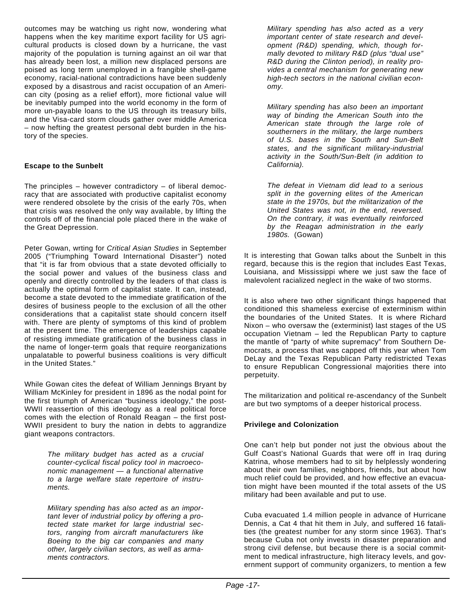outcomes may be watching us right now, wondering what happens when the key maritime export facility for US agricultural products is closed down by a hurricane, the vast majority of the population is turning against an oil war that has already been lost, a million new displaced persons are poised as long term unemployed in a frangible shell-game economy, racial-national contradictions have been suddenly exposed by a disastrous and racist occupation of an American city (posing as a relief effort), more fictional value will be inevitably pumped into the world economy in the form of more un-payable loans to the US through its treasury bills, and the Visa-card storm clouds gather over middle America – now hefting the greatest personal debt burden in the history of the species.

#### **Escape to the Sunbelt**

The principles – however contradictory – of liberal democracy that are associated with productive capitalist economy were rendered obsolete by the crisis of the early 70s, when that crisis was resolved the only way available, by lifting the controls off of the financial pole placed there in the wake of the Great Depression.

Peter Gowan, wrting for *Critical Asian Studies* in September 2005 ("Triumphing Toward International Disaster") noted that "it is far from obvious that a state devoted officially to the social power and values of the business class and openly and directly controlled by the leaders of that class is actually the optimal form of capitalist state. It can, instead, become a state devoted to the immediate gratification of the desires of business people to the exclusion of all the other considerations that a capitalist state should concern itself with. There are plenty of symptoms of this kind of problem at the present time. The emergence of leaderships capable of resisting immediate gratification of the business class in the name of longer-term goals that require reorganizations unpalatable to powerful business coalitions is very difficult in the United States."

While Gowan cites the defeat of William Jennings Bryant by William McKinley for president in 1896 as the nodal point for the first triumph of American "business ideology," the post-WWII reassertion of this ideology as a real political force comes with the election of Ronald Reagan – the first post-WWII president to bury the nation in debts to aggrandize giant weapons contractors.

> *The military budget has acted as a crucial counter-cyclical fiscal policy tool in macroeconomic management — a functional alternative to a large welfare state repertoire of instruments.*

> *Military spending has also acted as an important lever of industrial policy by offering a protected state market for large industrial sectors, ranging from aircraft manufacturers like Boeing to the big car companies and many other, largely civilian sectors, as well as armaments contractors.*

*Military spending has also acted as a very important center of state research and development (R&D) spending, which, though formally devoted to military R&D (plus "dual use" R&D during the Clinton period), in reality provides a central mechanism for generating new high-tech sectors in the national civilian economy.*

*Military spending has also been an important way of binding the American South into the American state through the large role of southerners in the military, the large numbers of U.S. bases in the South and Sun-Belt states, and the significant military-industrial activity in the South/Sun-Belt (in addition to California).*

*The defeat in Vietnam did lead to a serious split in the governing elites of the American state in the 1970s, but the militarization of the United States was not, in the end, reversed. On the contrary, it was eventually reinforced by the Reagan administration in the early 1980s.* (Gowan)

It is interesting that Gowan talks about the Sunbelt in this regard, because this is the region that includes East Texas, Louisiana, and Mississippi where we just saw the face of malevolent racialized neglect in the wake of two storms.

It is also where two other significant things happened that conditioned this shameless exercise of exterminism within the boundaries of the United States. It is where Richard Nixon – who oversaw the (exterminist) last stages of the US occupation Vietnam – led the Republican Party to capture the mantle of "party of white supremacy" from Southern Democrats, a process that was capped off this year when Tom DeLay and the Texas Republican Party redistricted Texas to ensure Republican Congressional majorities there into perpetuity.

The militarization and political re-ascendancy of the Sunbelt are but two symptoms of a deeper historical process.

#### **Privilege and Colonization**

One can't help but ponder not just the obvious about the Gulf Coast's National Guards that were off in Iraq during Katrina, whose members had to sit by helplessly wondering about their own families, neighbors, friends, but about how much relief could be provided, and how effective an evacuation might have been mounted if the total assets of the US military had been available and put to use.

Cuba evacuated 1.4 million people in advance of Hurricane Dennis, a Cat 4 that hit them in July, and suffered 16 fatalities (the greatest number for any storm since 1963). That's because Cuba not only invests in disaster preparation and strong civil defense, but because there is a social commitment to medical infrastructure, high literacy levels, and government support of community organizers, to mention a few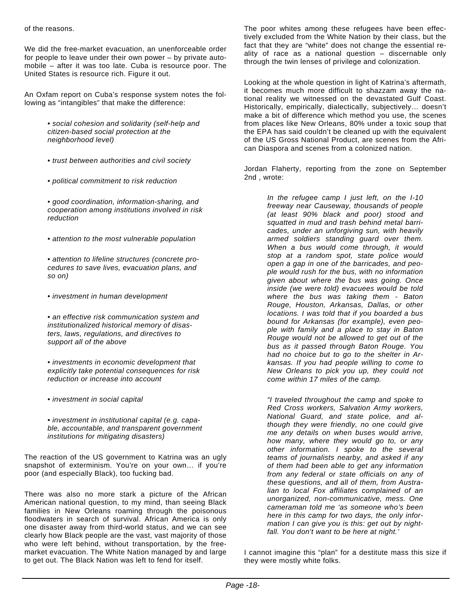of the reasons.

We did the free-market evacuation, an unenforceable order for people to leave under their own power – by private automobile – after it was too late. Cuba is resource poor. The United States is resource rich. Figure it out.

An Oxfam report on Cuba's response system notes the following as "intangibles" that make the difference:

> *• social cohesion and solidarity (self-help and citizen-based social protection at the neighborhood level)*

- *trust between authorities and civil society*
- *political commitment to risk reduction*

*• good coordination, information-sharing, and cooperation among institutions involved in risk reduction*

*• attention to the most vulnerable population*

*• attention to lifeline structures (concrete procedures to save lives, evacuation plans, and so on)*

*• investment in human development*

*• an effective risk communication system and institutionalized historical memory of disasters, laws, regulations, and directives to support all of the above*

*• investments in economic development that explicitly take potential consequences for risk reduction or increase into account*

*• investment in social capital*

*• investment in institutional capital (e.g. capable, accountable, and transparent government institutions for mitigating disasters)*

The reaction of the US government to Katrina was an ugly snapshot of exterminism. You're on your own… if you're poor (and especially Black), too fucking bad.

There was also no more stark a picture of the African American national question, to my mind, than seeing Black families in New Orleans roaming through the poisonous floodwaters in search of survival. African America is only one disaster away from third-world status, and we can see clearly how Black people are the vast, vast majority of those who were left behind, without transportation, by the freemarket evacuation. The White Nation managed by and large to get out. The Black Nation was left to fend for itself.

The poor whites among these refugees have been effectively excluded from the White Nation by their class, but the fact that they are "white" does not change the essential reality of race as a national question – discernable only through the twin lenses of privilege and colonization.

Looking at the whole question in light of Katrina's aftermath, it becomes much more difficult to shazzam away the national reality we witnessed on the devastated Gulf Coast. Historically, empirically, dialectically, subjectively… doesn't make a bit of difference which method you use, the scenes from places like New Orleans, 80% under a toxic soup that the EPA has said couldn't be cleaned up with the equivalent of the US Gross National Product, are scenes from the African Diaspora and scenes from a colonized nation.

Jordan Flaherty, reporting from the zone on September 2nd , wrote:

> *In the refugee camp I just left, on the I-10 freeway near Causeway, thousands of people (at least 90% black and poor) stood and squatted in mud and trash behind metal barricades, under an unforgiving sun, with heavily armed soldiers standing guard over them. When a bus would come through, it would stop at a random spot, state police would open a gap in one of the barricades, and people would rush for the bus, with no information given about where the bus was going. Once inside (we were told) evacuees would be told where the bus was taking them - Baton Rouge, Houston, Arkansas, Dallas, or other locations. I was told that if you boarded a bus bound for Arkansas (for example), even people with family and a place to stay in Baton Rouge would not be allowed to get out of the bus as it passed through Baton Rouge. You had no choice but to go to the shelter in Arkansas. If you had people willing to come to New Orleans to pick you up, they could not come within 17 miles of the camp.*

> *"I traveled throughout the camp and spoke to Red Cross workers, Salvation Army workers, National Guard, and state police, and although they were friendly, no one could give me any details on when buses would arrive, how many, where they would go to, or any other information. I spoke to the several teams of journalists nearby, and asked if any of them had been able to get any information from any federal or state officials on any of these questions, and all of them, from Australian to local Fox affiliates complained of an unorganized, non-communicative, mess. One cameraman told me 'as someone who's been here in this camp for two days, the only information I can give you is this: get out by nightfall. You don't want to be here at night.'*

I cannot imagine this "plan" for a destitute mass this size if they were mostly white folks.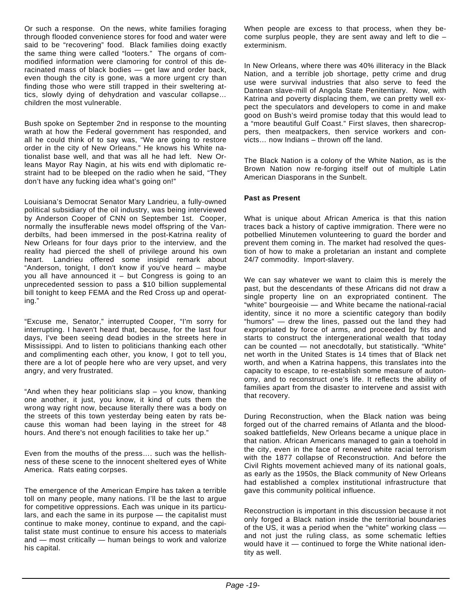Or such a response. On the news, white families foraging through flooded convenience stores for food and water were said to be "recovering" food. Black families doing exactly the same thing were called "looters." The organs of commodified information were clamoring for control of this deracinated mass of black bodies — get law and order back, even though the city is gone, was a more urgent cry than finding those who were still trapped in their sweltering attics, slowly dying of dehydration and vascular collapse… children the most vulnerable.

Bush spoke on September 2nd in response to the mounting wrath at how the Federal government has responded, and all he could think of to say was, "We are going to restore order in the city of New Orleans." He knows his White nationalist base well, and that was all he had left. New Orleans Mayor Ray Nagin, at his wits end with diplomatic restraint had to be bleeped on the radio when he said, "They don't have any fucking idea what's going on!"

Louisiana's Democrat Senator Mary Landrieu, a fully-owned political subsidiary of the oil industry, was being interviewed by Anderson Cooper of CNN on September 1st. Cooper, normally the insufferable news model offspring of the Vanderbilts, had been immersed in the post-Katrina reality of New Orleans for four days prior to the interview, and the reality had pierced the shell of privilege around his own heart. Landrieu offered some insipid remark about "Anderson, tonight, I don't know if you've heard – maybe you all have announced it – but Congress is going to an unprecedented session to pass a \$10 billion supplemental bill tonight to keep FEMA and the Red Cross up and operating."

"Excuse me, Senator," interrupted Cooper, "I'm sorry for interrupting. I haven't heard that, because, for the last four days, I've been seeing dead bodies in the streets here in Mississippi. And to listen to politicians thanking each other and complimenting each other, you know, I got to tell you, there are a lot of people here who are very upset, and very angry, and very frustrated.

"And when they hear politicians slap – you know, thanking one another, it just, you know, it kind of cuts them the wrong way right now, because literally there was a body on the streets of this town yesterday being eaten by rats because this woman had been laying in the street for 48 hours. And there's not enough facilities to take her up."

Even from the mouths of the press…. such was the hellishness of these scene to the innocent sheltered eyes of White America. Rats eating corpses.

The emergence of the American Empire has taken a terrible toll on many people, many nations. I'll be the last to argue for competitive oppressions. Each was unique in its particulars, and each the same in its purpose — the capitalist must continue to make money, continue to expand, and the capitalist state must continue to ensure his access to materials and — most critically — human beings to work and valorize his capital.

When people are excess to that process, when they become surplus people, they are sent away and left to die – exterminism.

In New Orleans, where there was 40% illiteracy in the Black Nation, and a terrible job shortage, petty crime and drug use were survival industries that also serve to feed the Dantean slave-mill of Angola State Penitentiary. Now, with Katrina and poverty displacing them, we can pretty well expect the speculators and developers to come in and make good on Bush's weird promise today that this would lead to a "more beautiful Gulf Coast." First slaves, then sharecroppers, then meatpackers, then service workers and convicts… now Indians – thrown off the land.

The Black Nation is a colony of the White Nation, as is the Brown Nation now re-forging itself out of multiple Latin American Diasporans in the Sunbelt.

#### **Past as Present**

What is unique about African America is that this nation traces back a history of captive immigration. There were no potbellied Minutemen volunteering to guard the border and prevent them coming in. The market had resolved the question of how to make a proletarian an instant and complete 24/7 commodity. Import-slavery.

We can say whatever we want to claim this is merely the past, but the descendants of these Africans did not draw a single property line on an expropriated continent. The "white" bourgeoisie — and White became the national-racial identity, since it no more a scientific category than bodily "humors" — drew the lines, passed out the land they had expropriated by force of arms, and proceeded by fits and starts to construct the intergenerational wealth that today can be counted — not anecdotally, but statistically. "White" net worth in the United States is 14 times that of Black net worth, and when a Katrina happens, this translates into the capacity to escape, to re-establish some measure of autonomy, and to reconstruct one's life. It reflects the ability of families apart from the disaster to intervene and assist with that recovery.

During Reconstruction, when the Black nation was being forged out of the charred remains of Atlanta and the bloodsoaked battlefields, New Orleans became a unique place in that nation. African Americans managed to gain a toehold in the city, even in the face of renewed white racial terrorism with the 1877 collapse of Reconstruction. And before the Civil Rights movement achieved many of its national goals, as early as the 1950s, the Black community of New Orleans had established a complex institutional infrastructure that gave this community political influence.

Reconstruction is important in this discussion because it not only forged a Black nation inside the territorial boundaries of the US, it was a period when the "white" working class and not just the ruling class, as some schematic lefties would have it — continued to forge the White national identity as well.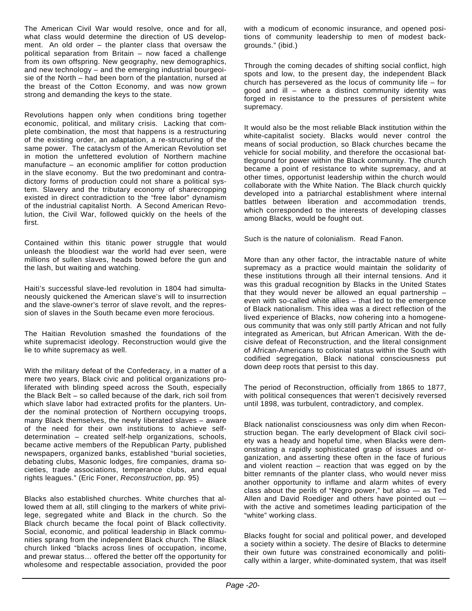The American Civil War would resolve, once and for all, what class would determine the direction of US development. An old order – the planter class that oversaw the political separation from Britain – now faced a challenge from its own offspring. New geography, new demographics, and new technology – and the emerging industrial bourgeoisie of the North – had been born of the plantation, nursed at the breast of the Cotton Economy, and was now grown strong and demanding the keys to the state.

Revolutions happen only when conditions bring together economic, political, and military crisis. Lacking that complete combination, the most that happens is a restructuring of the existing order, an adaptation, a re-structuring of the same power. The cataclysm of the American Revolution set in motion the unfettered evolution of Northern machine manufacture – an economic amplifier for cotton production in the slave economy. But the two predominant and contradictory forms of production could not share a political system. Slavery and the tributary economy of sharecropping existed in direct contradiction to the "free labor" dynamism of the industrial capitalist North. A Second American Revolution, the Civil War, followed quickly on the heels of the first.

Contained within this titanic power struggle that would unleash the bloodiest war the world had ever seen, were millions of sullen slaves, heads bowed before the gun and the lash, but waiting and watching.

Haiti's successful slave-led revolution in 1804 had simultaneously quickened the American slave's will to insurrection and the slave-owner's terror of slave revolt, and the repression of slaves in the South became even more ferocious.

The Haitian Revolution smashed the foundations of the white supremacist ideology. Reconstruction would give the lie to white supremacy as well.

With the military defeat of the Confederacy, in a matter of a mere two years, Black civic and political organizations proliferated with blinding speed across the South, especially the Black Belt – so called because of the dark, rich soil from which slave labor had extracted profits for the planters. Under the nominal protection of Northern occupying troops, many Black themselves, the newly liberated slaves – aware of the need for their own institutions to achieve selfdetermination – created self-help organizations, schools, became active members of the Republican Party, published newspapers, organized banks, established "burial societies, debating clubs, Masonic lodges, fire companies, drama societies, trade associations, temperance clubs, and equal rights leagues." (Eric Foner, *Reconstruction*, pp. 95)

Blacks also established churches. White churches that allowed them at all, still clinging to the markers of white privilege, segregated white and Black in the church. So the Black church became the focal point of Black collectivity. Social, economic, and political leadership in Black communities sprang from the independent Black church. The Black church linked "blacks across lines of occupation, income, and prewar status… offered the better off the opportunity for wholesome and respectable association, provided the poor with a modicum of economic insurance, and opened positions of community leadership to men of modest backgrounds." (ibid.)

Through the coming decades of shifting social conflict, high spots and low, to the present day, the independent Black church has persevered as the locus of community life – for good and ill – where a distinct community identity was forged in resistance to the pressures of persistent white supremacy.

It would also be the most reliable Black institution within the white-capitalist society. Blacks would never control the means of social production, so Black churches became the vehicle for social mobility, and therefore the occasional battleground for power within the Black community. The church became a point of resistance to white supremacy, and at other times, opportunist leadership within the church would collaborate with the White Nation. The Black church quickly developed into a patriarchal establishment where internal battles between liberation and accommodation trends, which corresponded to the interests of developing classes among Blacks, would be fought out.

Such is the nature of colonialism. Read Fanon.

More than any other factor, the intractable nature of white supremacy as a practice would maintain the solidarity of these institutions through all their internal tensions. And it was this gradual recognition by Blacks in the United States that they would never be allowed an equal partnership – even with so-called white allies – that led to the emergence of Black nationalism. This idea was a direct reflection of the lived experience of Blacks, now cohering into a homogeneous community that was only still partly African and not fully integrated as American, but African American. With the decisive defeat of Reconstruction, and the literal consignment of African-Americans to colonial status within the South with codified segregation, Black national consciousness put down deep roots that persist to this day.

The period of Reconstruction, officially from 1865 to 1877, with political consequences that weren't decisively reversed until 1898, was turbulent, contradictory, and complex.

Black nationalist consciousness was only dim when Reconstruction began. The early development of Black civil society was a heady and hopeful time, when Blacks were demonstrating a rapidly sophisticated grasp of issues and organization, and asserting these often in the face of furious and violent reaction – reaction that was egged on by the bitter remnants of the planter class, who would never miss another opportunity to inflame and alarm whites of every class about the perils of "Negro power," but also — as Ted Allen and David Roediger and others have pointed out with the active and sometimes leading participation of the "white" working class.

Blacks fought for social and political power, and developed a society within a society. The desire of Blacks to determine their own future was constrained economically and politically within a larger, white-dominated system, that was itself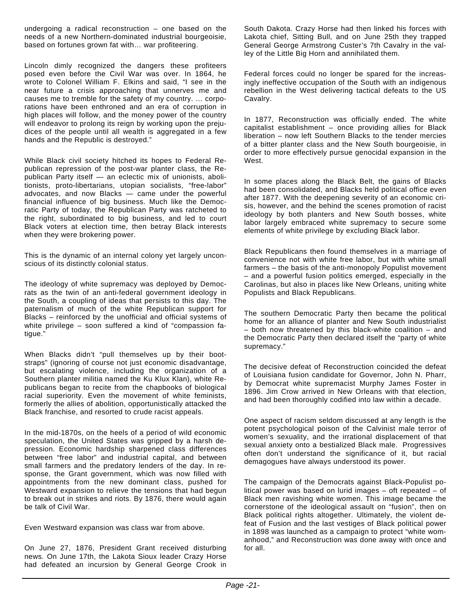undergoing a radical reconstruction – one based on the needs of a new Northern-dominated industrial bourgeoisie, based on fortunes grown fat with… war profiteering.

Lincoln dimly recognized the dangers these profiteers posed even before the Civil War was over. In 1864, he wrote to Colonel William F. Elkins and said, "I see in the near future a crisis approaching that unnerves me and causes me to tremble for the safety of my country. … corporations have been enthroned and an era of corruption in high places will follow, and the money power of the country will endeavor to prolong its reign by working upon the prejudices of the people until all wealth is aggregated in a few hands and the Republic is destroyed."

While Black civil society hitched its hopes to Federal Republican repression of the post-war planter class, the Republican Party itself — an eclectic mix of unionists, abolitionists, proto-libertarians, utopian socialists, "free-labor" advocates, and now Blacks — came under the powerful financial influence of big business. Much like the Democratic Party of today, the Republican Party was ratcheted to the right, subordinated to big business, and led to court Black voters at election time, then betray Black interests when they were brokering power.

This is the dynamic of an internal colony yet largely unconscious of its distinctly colonial status.

The ideology of white supremacy was deployed by Democrats as the twin of an anti-federal government ideology in the South, a coupling of ideas that persists to this day. The paternalism of much of the white Republican support for Blacks – reinforced by the unofficial and official systems of white privilege – soon suffered a kind of "compassion fatigue."

When Blacks didn't "pull themselves up by their bootstraps" (ignoring of course not just economic disadvantage, but escalating violence, including the organization of a Southern planter militia named the Ku Klux Klan), white Republicans began to recite from the chapbooks of biological racial superiority. Even the movement of white feminists, formerly the allies of abolition, opportunistically attacked the Black franchise, and resorted to crude racist appeals.

In the mid-1870s, on the heels of a period of wild economic speculation, the United States was gripped by a harsh depression. Economic hardship sharpened class differences between "free labor" and industrial capital, and between small farmers and the predatory lenders of the day. In response, the Grant government, which was now filled with appointments from the new dominant class, pushed for Westward expansion to relieve the tensions that had begun to break out in strikes and riots. By 1876, there would again be talk of Civil War.

Even Westward expansion was class war from above.

On June 27, 1876, President Grant received disturbing news. On June 17th, the Lakota Sioux leader Crazy Horse had defeated an incursion by General George Crook in South Dakota. Crazy Horse had then linked his forces with Lakota chief, Sitting Bull, and on June 25th they trapped General George Armstrong Custer's 7th Cavalry in the valley of the Little Big Horn and annihilated them.

Federal forces could no longer be spared for the increasingly ineffective occupation of the South with an indigenous rebellion in the West delivering tactical defeats to the US Cavalry.

In 1877, Reconstruction was officially ended. The white capitalist establishment – once providing allies for Black liberation – now left Southern Blacks to the tender mercies of a bitter planter class and the New South bourgeoisie, in order to more effectively pursue genocidal expansion in the West.

In some places along the Black Belt, the gains of Blacks had been consolidated, and Blacks held political office even after 1877. With the deepening severity of an economic crisis, however, and the behind the scenes promotion of racist ideology by both planters and New South bosses, white labor largely embraced white supremacy to secure some elements of white privilege by excluding Black labor.

Black Republicans then found themselves in a marriage of convenience not with white free labor, but with white small farmers – the basis of the anti-monopoly Populist movement – and a powerful fusion politics emerged, especially in the Carolinas, but also in places like New Orleans, uniting white Populists and Black Republicans.

The southern Democratic Party then became the political home for an alliance of planter and New South industrialist – both now threatened by this black-white coalition – and the Democratic Party then declared itself the "party of white supremacy."

The decisive defeat of Reconstruction coincided the defeat of Louisiana fusion candidate for Governor, John N. Pharr, by Democrat white supremacist Murphy James Foster in 1896. Jim Crow arrived in New Orleans with that election, and had been thoroughly codified into law within a decade.

One aspect of racism seldom discussed at any length is the potent psychological poison of the Calvinist male terror of women's sexuality, and the irrational displacement of that sexual anxiety onto a bestialized Black male. Progressives often don't understand the significance of it, but racial demagogues have always understood its power.

The campaign of the Democrats against Black-Populist political power was based on lurid images – oft repeated – of Black men ravishing white women. This image became the cornerstone of the ideological assault on "fusion", then on Black political rights altogether. Ultimately, the violent defeat of Fusion and the last vestiges of Black political power in 1898 was launched as a campaign to protect "white womanhood," and Reconstruction was done away with once and for all.